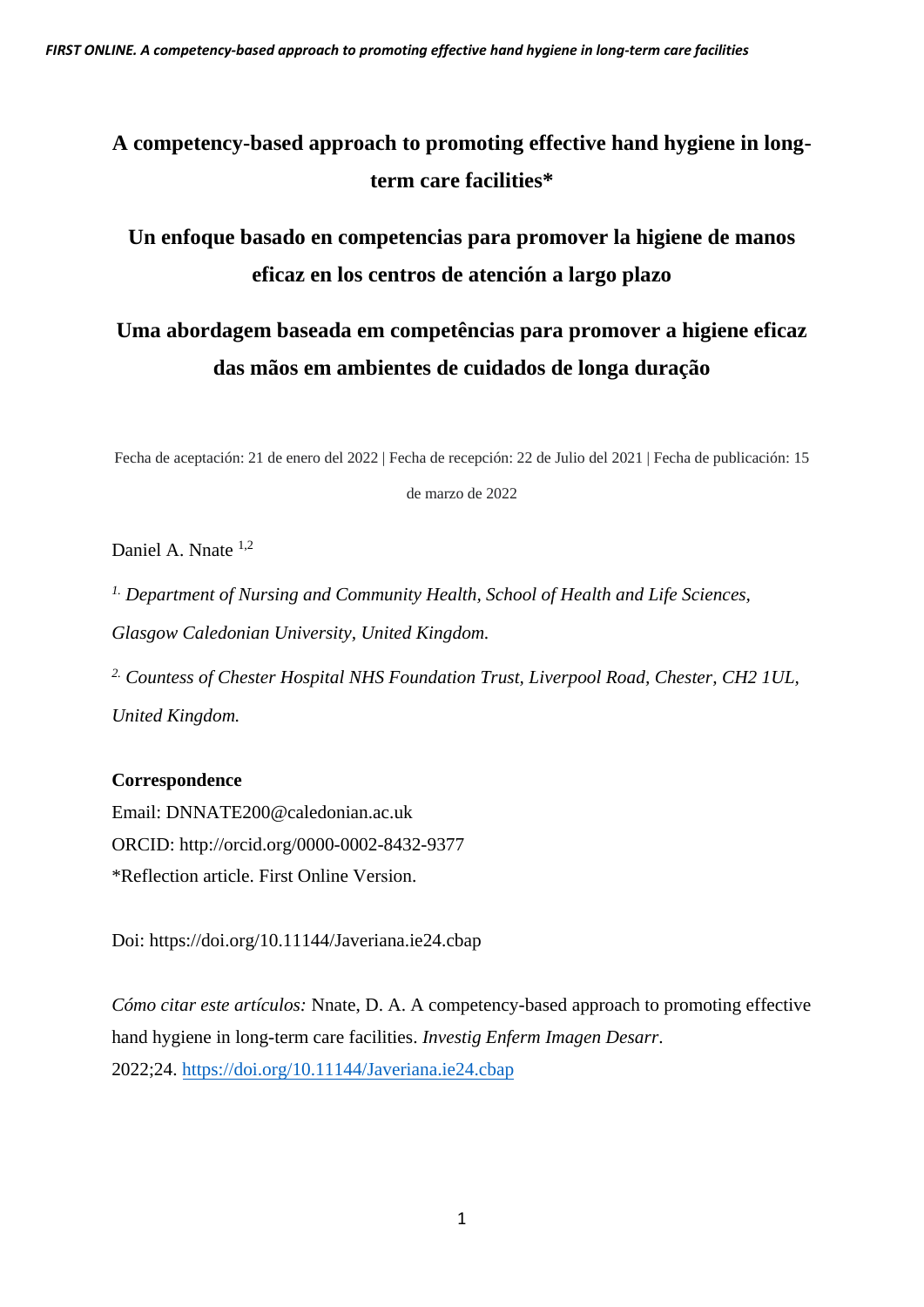# **A competency-based approach to promoting effective hand hygiene in longterm care facilities\***

# **Un enfoque basado en competencias para promover la higiene de manos eficaz en los centros de atención a largo plazo**

# **Uma abordagem baseada em competências para promover a higiene eficaz das mãos em ambientes de cuidados de longa duração**

Fecha de aceptación: 21 de enero del 2022 | Fecha de recepción: 22 de Julio del 2021 | Fecha de publicación: 15

de marzo de 2022

Daniel A. Nnate <sup>1,2</sup>

*1. Department of Nursing and Community Health, School of Health and Life Sciences, Glasgow Caledonian University, United Kingdom.* 

*2. Countess of Chester Hospital NHS Foundation Trust, Liverpool Road, Chester, CH2 1UL, United Kingdom.* 

# **Correspondence**

Email: DNNATE200@caledonian.ac.uk ORCID:<http://orcid.org/0000-0002-8432-9377> \*Reflection article. First Online Version.

Doi:<https://doi.org/10.11144/Javeriana.ie24.cbap>

*Cómo citar este artículos:* Nnate, D. A. A competency-based approach to promoting effective hand hygiene in long-term care facilities. *Investig Enferm Imagen Desarr*. 2022;24.<https://doi.org/10.11144/Javeriana.ie24.cbap>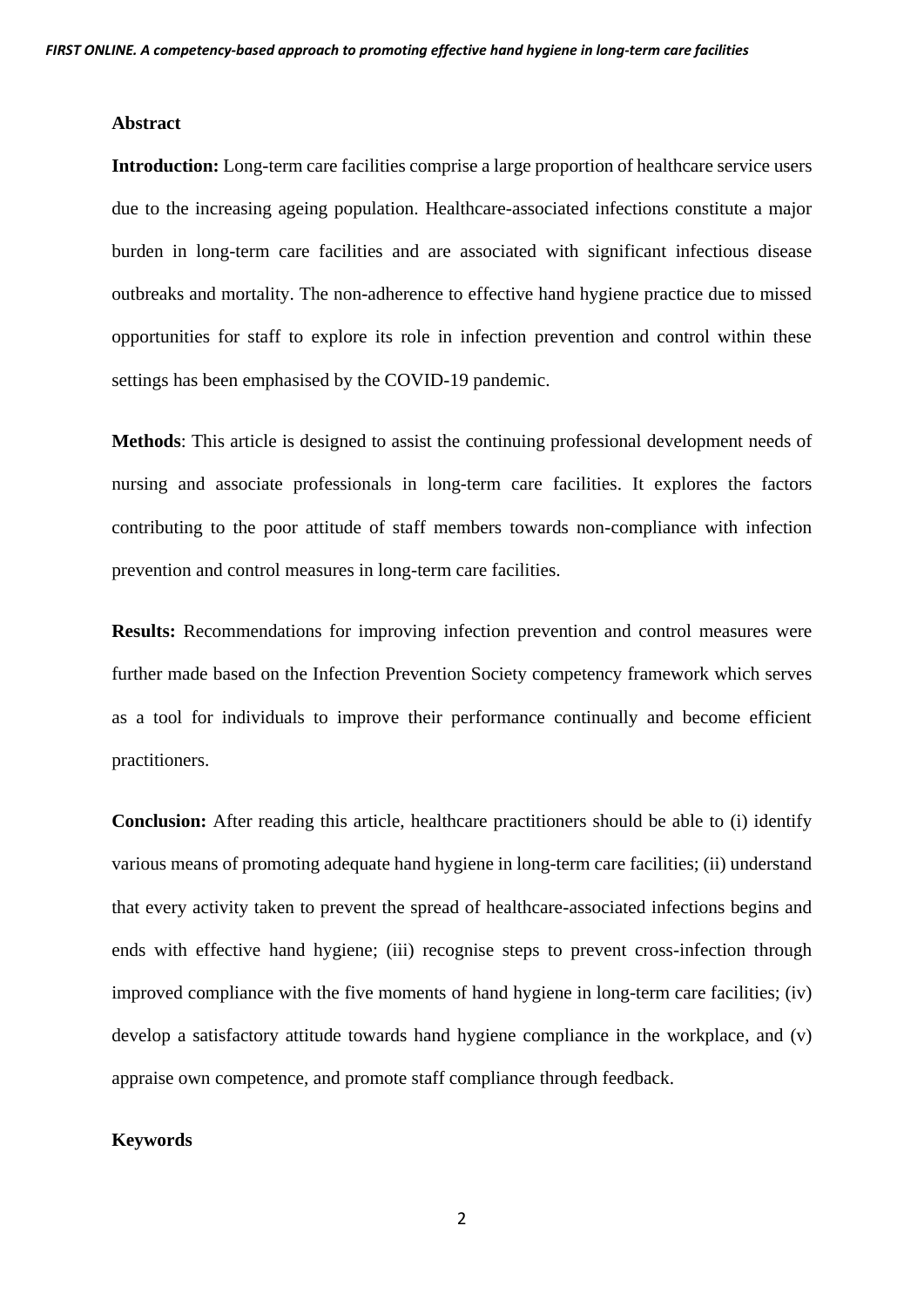### **Abstract**

**Introduction:** Long-term care facilities comprise a large proportion of healthcare service users due to the increasing ageing population. Healthcare-associated infections constitute a major burden in long-term care facilities and are associated with significant infectious disease outbreaks and mortality. The non-adherence to effective hand hygiene practice due to missed opportunities for staff to explore its role in infection prevention and control within these settings has been emphasised by the COVID-19 pandemic.

**Methods**: This article is designed to assist the continuing professional development needs of nursing and associate professionals in long-term care facilities. It explores the factors contributing to the poor attitude of staff members towards non-compliance with infection prevention and control measures in long-term care facilities.

**Results:** Recommendations for improving infection prevention and control measures were further made based on the Infection Prevention Society competency framework which serves as a tool for individuals to improve their performance continually and become efficient practitioners.

**Conclusion:** After reading this article, healthcare practitioners should be able to (i) identify various means of promoting adequate hand hygiene in long-term care facilities; (ii) understand that every activity taken to prevent the spread of healthcare-associated infections begins and ends with effective hand hygiene; (iii) recognise steps to prevent cross-infection through improved compliance with the five moments of hand hygiene in long-term care facilities; (iv) develop a satisfactory attitude towards hand hygiene compliance in the workplace, and (v) appraise own competence, and promote staff compliance through feedback.

### **Keywords**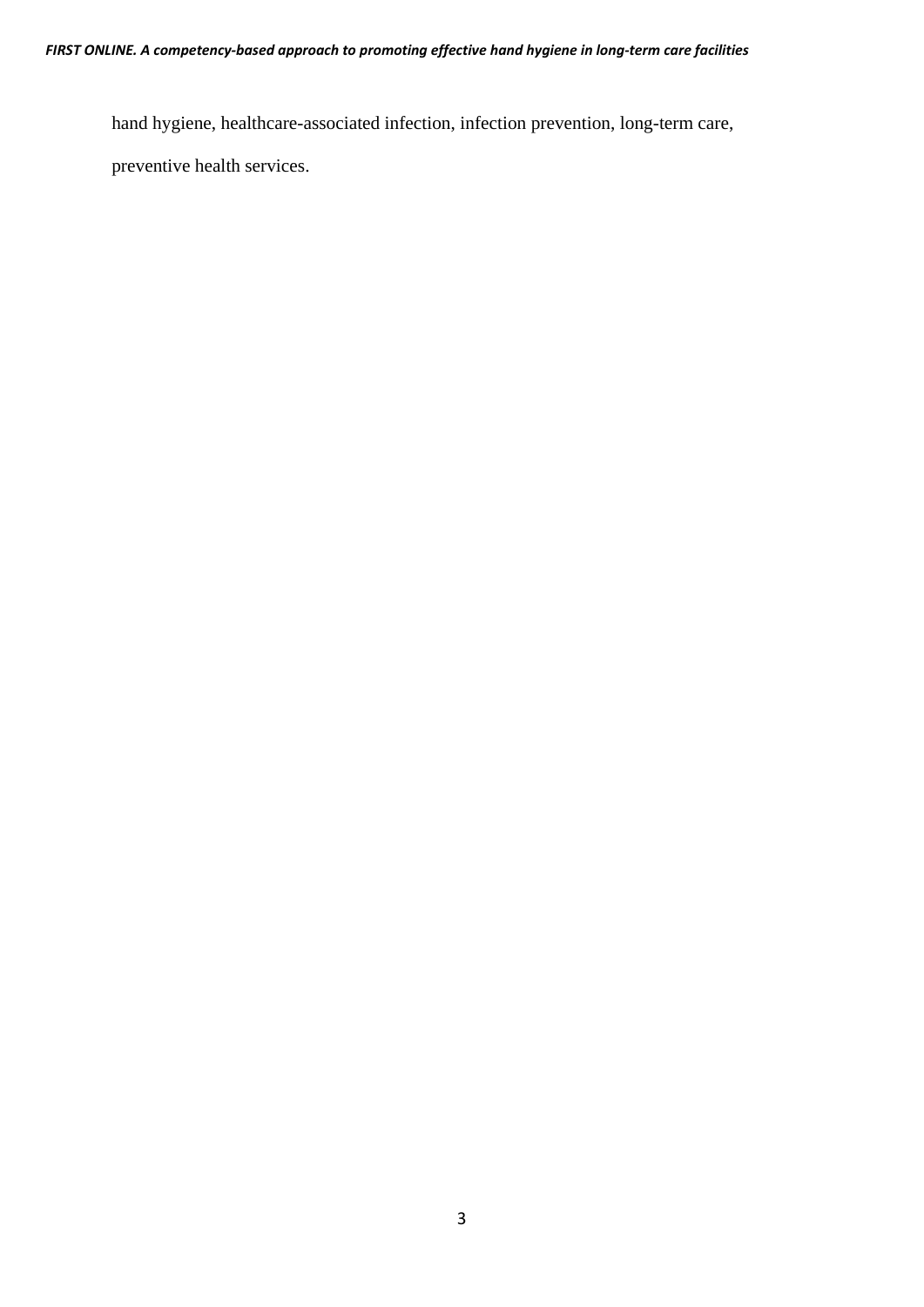hand hygiene, healthcare-associated infection, infection prevention, long-term care,

preventive health services.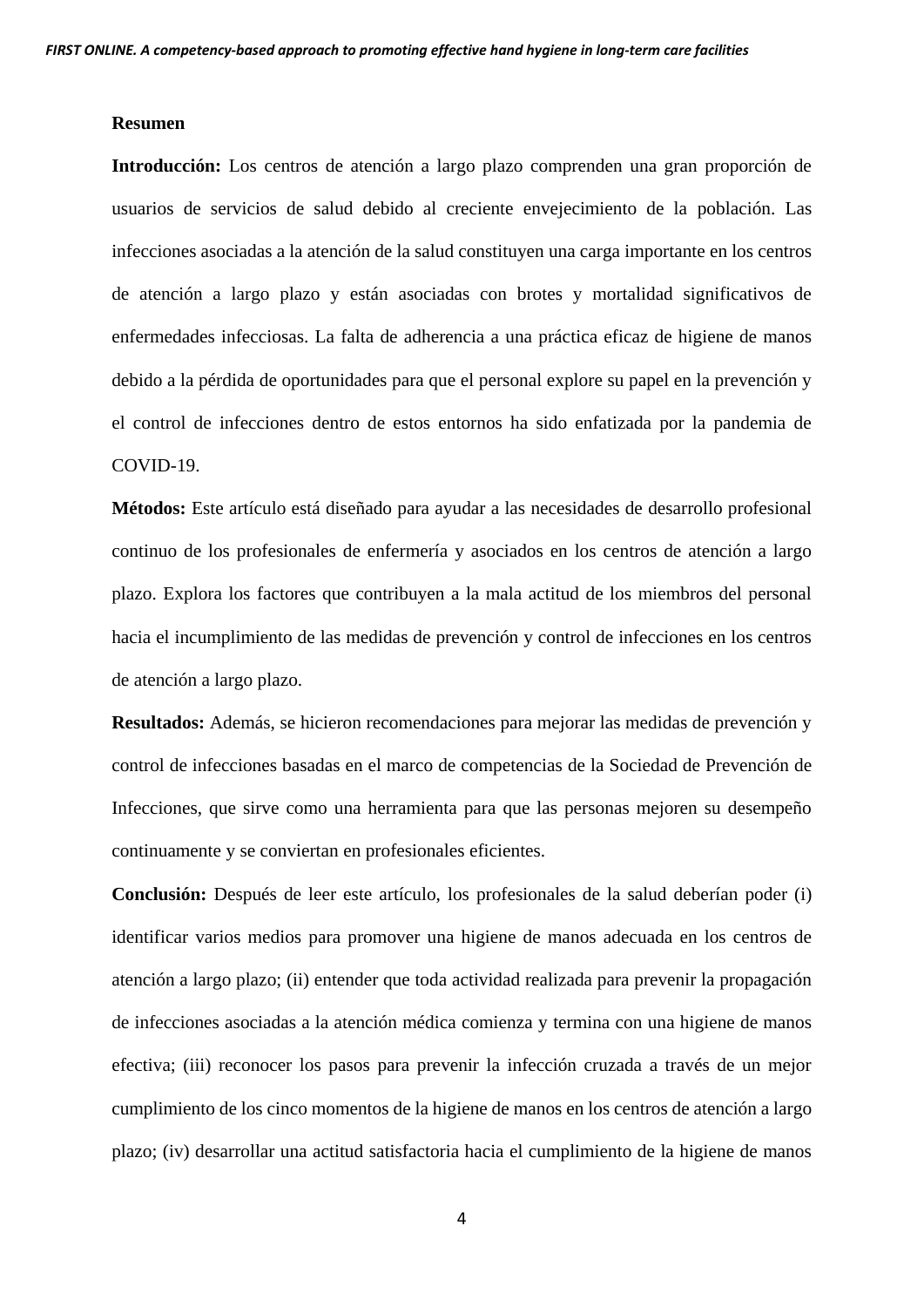#### **Resumen**

**Introducción:** Los centros de atención a largo plazo comprenden una gran proporción de usuarios de servicios de salud debido al creciente envejecimiento de la población. Las infecciones asociadas a la atención de la salud constituyen una carga importante en los centros de atención a largo plazo y están asociadas con brotes y mortalidad significativos de enfermedades infecciosas. La falta de adherencia a una práctica eficaz de higiene de manos debido a la pérdida de oportunidades para que el personal explore su papel en la prevención y el control de infecciones dentro de estos entornos ha sido enfatizada por la pandemia de COVID-19.

**Métodos:** Este artículo está diseñado para ayudar a las necesidades de desarrollo profesional continuo de los profesionales de enfermería y asociados en los centros de atención a largo plazo. Explora los factores que contribuyen a la mala actitud de los miembros del personal hacia el incumplimiento de las medidas de prevención y control de infecciones en los centros de atención a largo plazo.

**Resultados:** Además, se hicieron recomendaciones para mejorar las medidas de prevención y control de infecciones basadas en el marco de competencias de la Sociedad de Prevención de Infecciones, que sirve como una herramienta para que las personas mejoren su desempeño continuamente y se conviertan en profesionales eficientes.

**Conclusión:** Después de leer este artículo, los profesionales de la salud deberían poder (i) identificar varios medios para promover una higiene de manos adecuada en los centros de atención a largo plazo; (ii) entender que toda actividad realizada para prevenir la propagación de infecciones asociadas a la atención médica comienza y termina con una higiene de manos efectiva; (iii) reconocer los pasos para prevenir la infección cruzada a través de un mejor cumplimiento de los cinco momentos de la higiene de manos en los centros de atención a largo plazo; (iv) desarrollar una actitud satisfactoria hacia el cumplimiento de la higiene de manos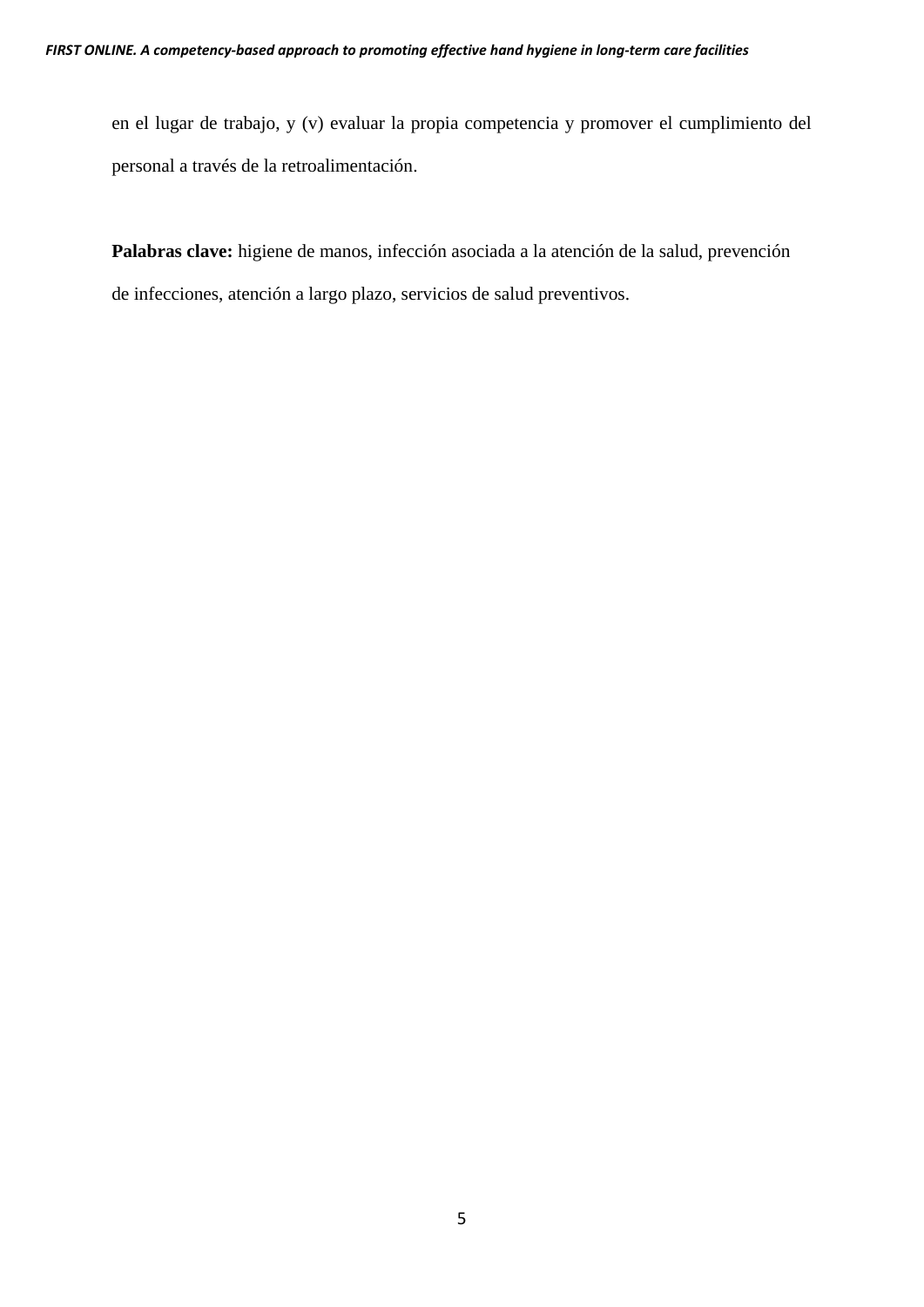en el lugar de trabajo, y (v) evaluar la propia competencia y promover el cumplimiento del personal a través de la retroalimentación.

**Palabras clave:** higiene de manos, infección asociada a la atención de la salud, prevención de infecciones, atención a largo plazo, servicios de salud preventivos.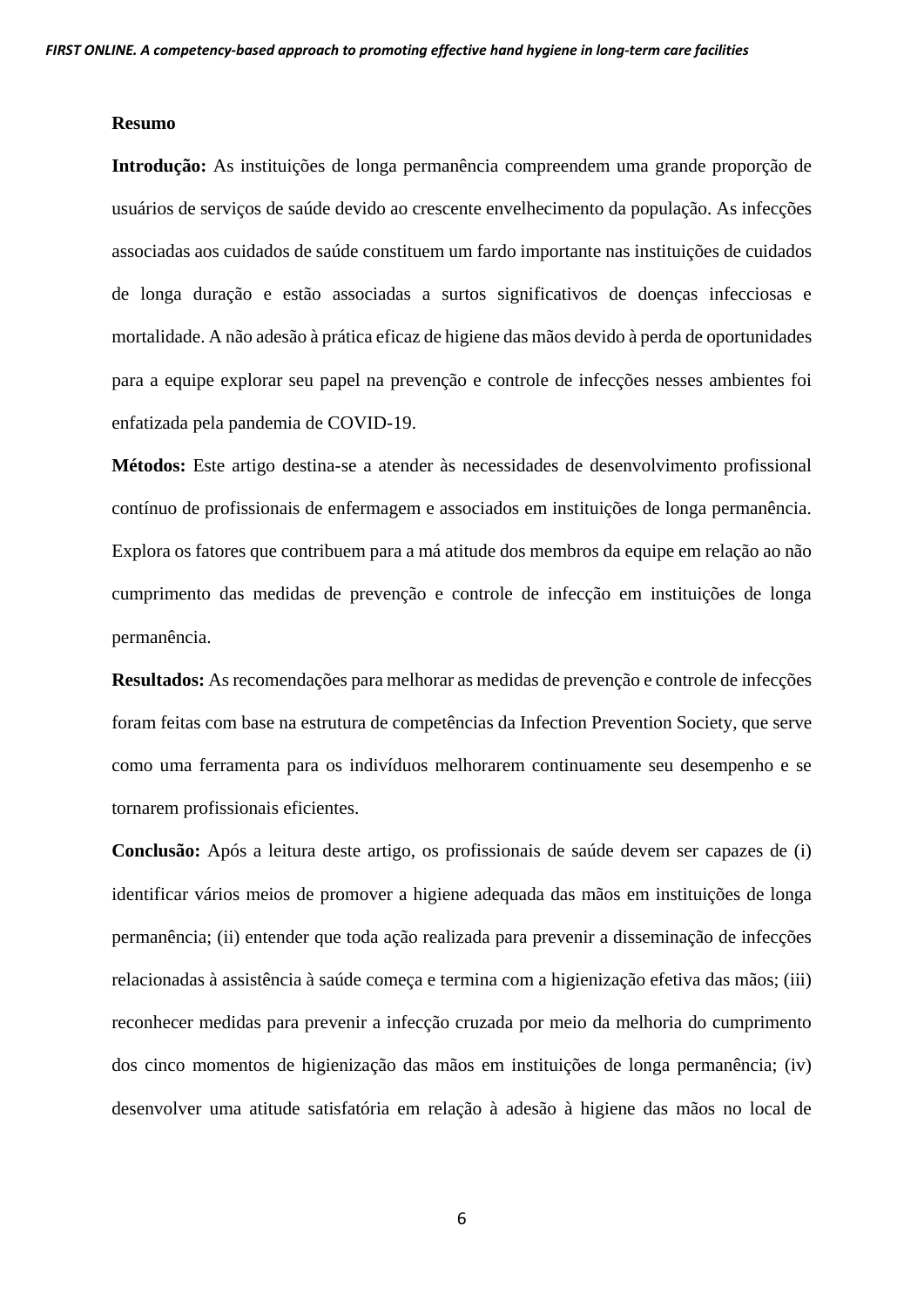#### **Resumo**

**Introdução:** As instituições de longa permanência compreendem uma grande proporção de usuários de serviços de saúde devido ao crescente envelhecimento da população. As infecções associadas aos cuidados de saúde constituem um fardo importante nas instituições de cuidados de longa duração e estão associadas a surtos significativos de doenças infecciosas e mortalidade. A não adesão à prática eficaz de higiene das mãos devido à perda de oportunidades para a equipe explorar seu papel na prevenção e controle de infecções nesses ambientes foi enfatizada pela pandemia de COVID-19.

**Métodos:** Este artigo destina-se a atender às necessidades de desenvolvimento profissional contínuo de profissionais de enfermagem e associados em instituições de longa permanência. Explora os fatores que contribuem para a má atitude dos membros da equipe em relação ao não cumprimento das medidas de prevenção e controle de infecção em instituições de longa permanência.

**Resultados:** As recomendações para melhorar as medidas de prevenção e controle de infecções foram feitas com base na estrutura de competências da Infection Prevention Society, que serve como uma ferramenta para os indivíduos melhorarem continuamente seu desempenho e se tornarem profissionais eficientes.

**Conclusão:** Após a leitura deste artigo, os profissionais de saúde devem ser capazes de (i) identificar vários meios de promover a higiene adequada das mãos em instituições de longa permanência; (ii) entender que toda ação realizada para prevenir a disseminação de infecções relacionadas à assistência à saúde começa e termina com a higienização efetiva das mãos; (iii) reconhecer medidas para prevenir a infecção cruzada por meio da melhoria do cumprimento dos cinco momentos de higienização das mãos em instituições de longa permanência; (iv) desenvolver uma atitude satisfatória em relação à adesão à higiene das mãos no local de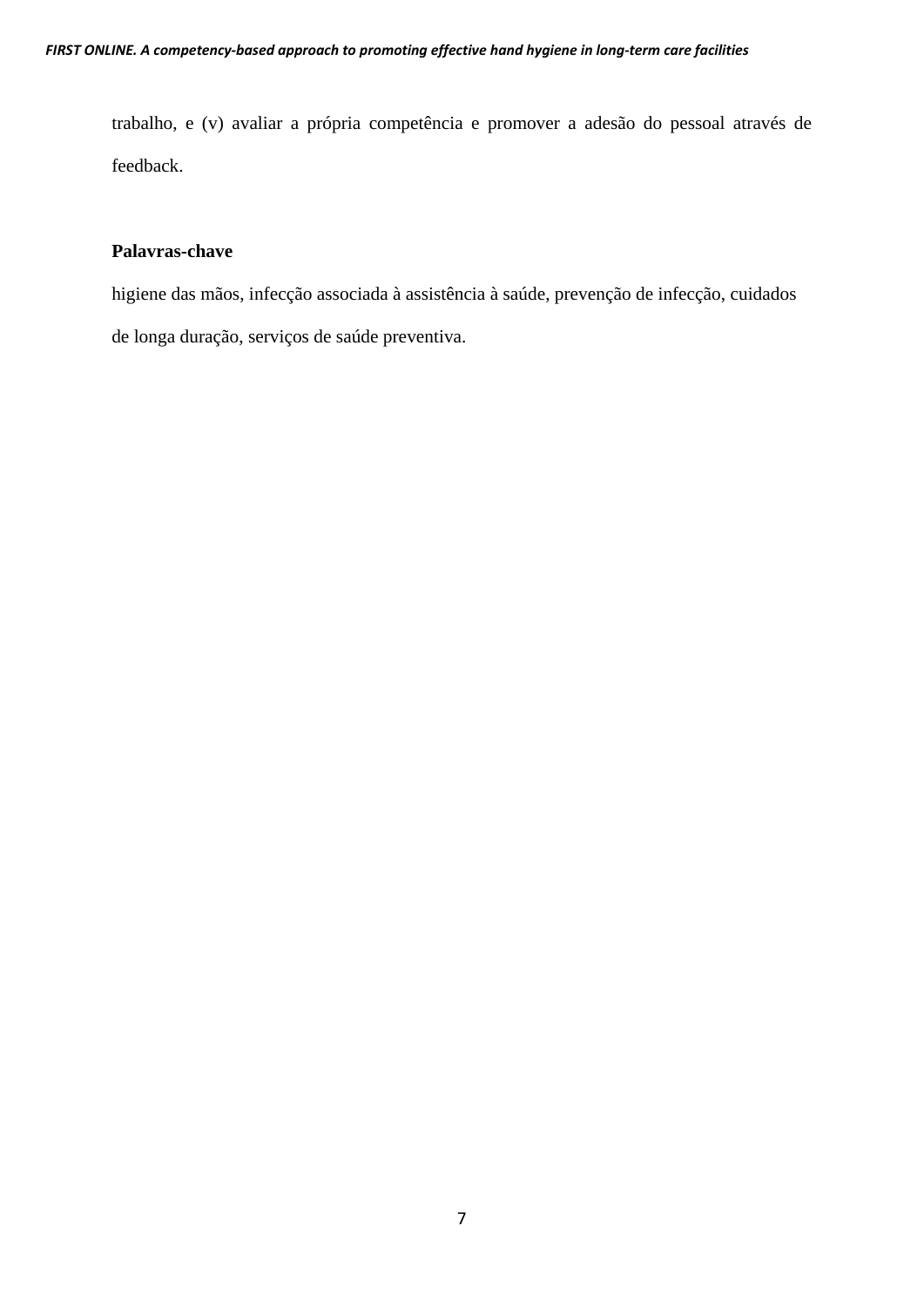trabalho, e (v) avaliar a própria competência e promover a adesão do pessoal através de feedback.

# **Palavras-chave**

higiene das mãos, infecção associada à assistência à saúde, prevenção de infecção, cuidados de longa duração, serviços de saúde preventiva.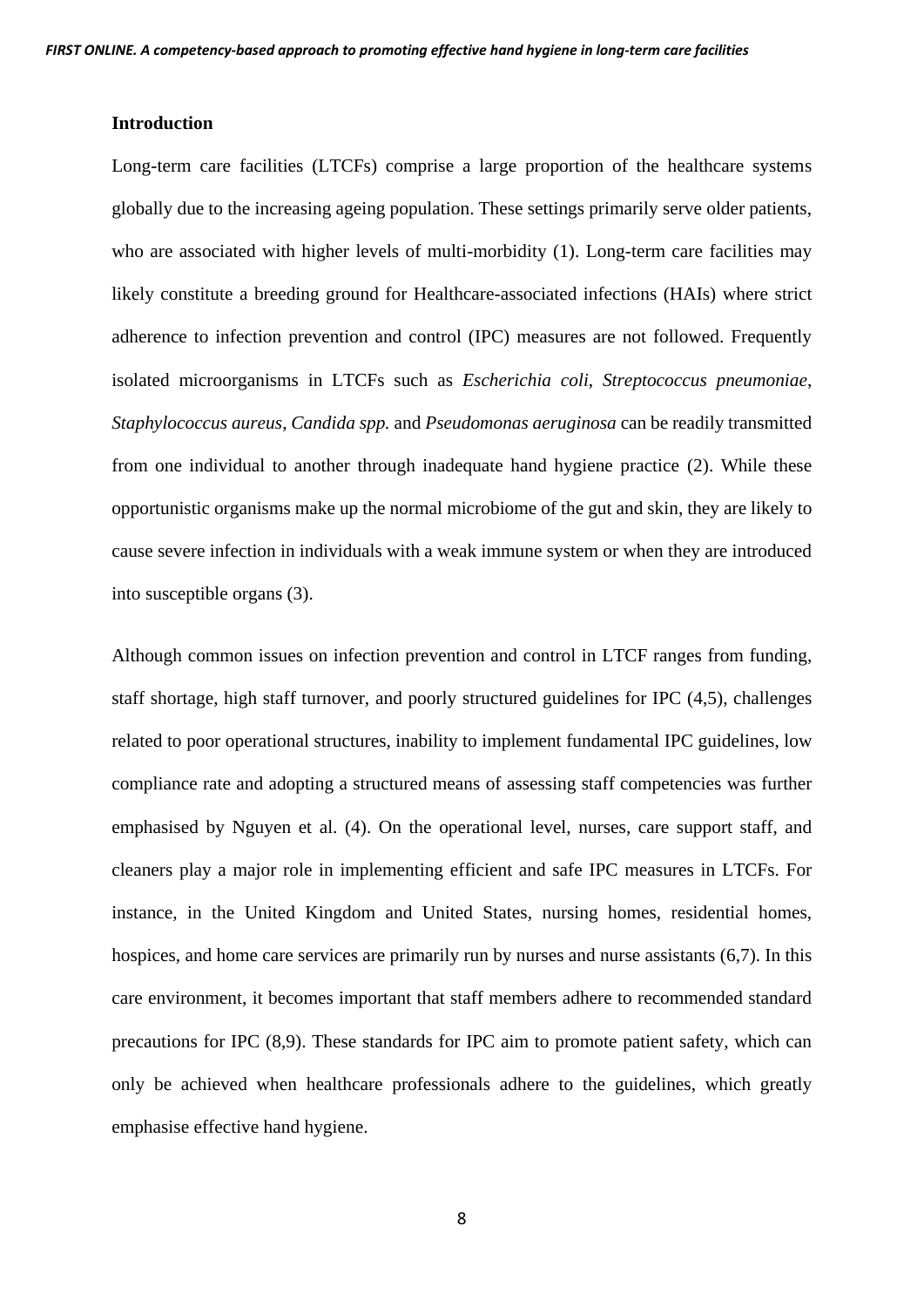#### **Introduction**

Long-term care facilities (LTCFs) comprise a large proportion of the healthcare systems globally due to the increasing ageing population. These settings primarily serve older patients, who are associated with higher levels of multi-morbidity (1). Long-term care facilities may likely constitute a breeding ground for Healthcare-associated infections (HAIs) where strict adherence to infection prevention and control (IPC) measures are not followed. Frequently isolated microorganisms in LTCFs such as *Escherichia coli*, *Streptococcus pneumoniae*, *Staphylococcus aureus*, *Candida spp.* and *Pseudomonas aeruginosa* can be readily transmitted from one individual to another through inadequate hand hygiene practice (2). While these opportunistic organisms make up the normal microbiome of the gut and skin, they are likely to cause severe infection in individuals with a weak immune system or when they are introduced into susceptible organs (3).

Although common issues on infection prevention and control in LTCF ranges from funding, staff shortage, high staff turnover, and poorly structured guidelines for IPC (4,5), challenges related to poor operational structures, inability to implement fundamental IPC guidelines, low compliance rate and adopting a structured means of assessing staff competencies was further emphasised by Nguyen et al. (4). On the operational level, nurses, care support staff, and cleaners play a major role in implementing efficient and safe IPC measures in LTCFs. For instance, in the United Kingdom and United States, nursing homes, residential homes, hospices, and home care services are primarily run by nurses and nurse assistants (6,7). In this care environment, it becomes important that staff members adhere to recommended standard precautions for IPC (8,9). These standards for IPC aim to promote patient safety, which can only be achieved when healthcare professionals adhere to the guidelines, which greatly emphasise effective hand hygiene.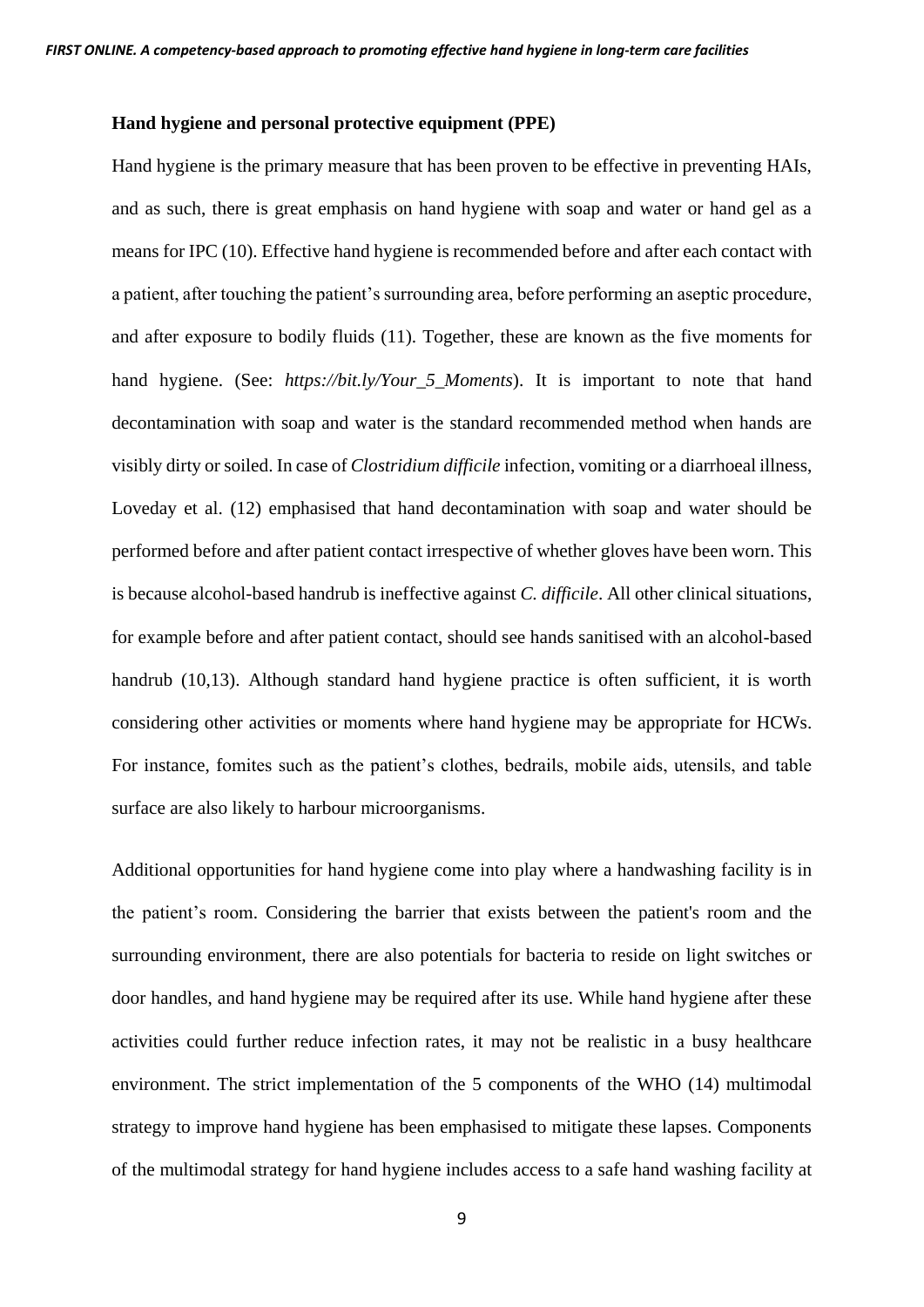#### **Hand hygiene and personal protective equipment (PPE)**

Hand hygiene is the primary measure that has been proven to be effective in preventing HAIs, and as such, there is great emphasis on hand hygiene with soap and water or hand gel as a means for IPC (10). Effective hand hygiene is recommended before and after each contact with a patient, after touching the patient's surrounding area, before performing an aseptic procedure, and after exposure to bodily fluids (11). Together, these are known as the five moments for hand hygiene. (See: *[https://bit.ly/Your\\_5\\_Moments](https://bit.ly/Your_5_Moments)*). It is important to note that hand decontamination with soap and water is the standard recommended method when hands are visibly dirty or soiled. In case of *Clostridium difficile* infection, vomiting or a diarrhoeal illness, Loveday et al. (12) emphasised that hand decontamination with soap and water should be performed before and after patient contact irrespective of whether gloves have been worn. This is because alcohol-based handrub is ineffective against *C. difficile*. All other clinical situations, for example before and after patient contact, should see hands sanitised with an alcohol-based handrub (10,13). Although standard hand hygiene practice is often sufficient, it is worth considering other activities or moments where hand hygiene may be appropriate for HCWs. For instance, fomites such as the patient's clothes, bedrails, mobile aids, utensils, and table surface are also likely to harbour microorganisms.

Additional opportunities for hand hygiene come into play where a handwashing facility is in the patient's room. Considering the barrier that exists between the patient's room and the surrounding environment, there are also potentials for bacteria to reside on light switches or door handles, and hand hygiene may be required after its use. While hand hygiene after these activities could further reduce infection rates, it may not be realistic in a busy healthcare environment. The strict implementation of the 5 components of the WHO (14) multimodal strategy to improve hand hygiene has been emphasised to mitigate these lapses. Components of the multimodal strategy for hand hygiene includes access to a safe hand washing facility at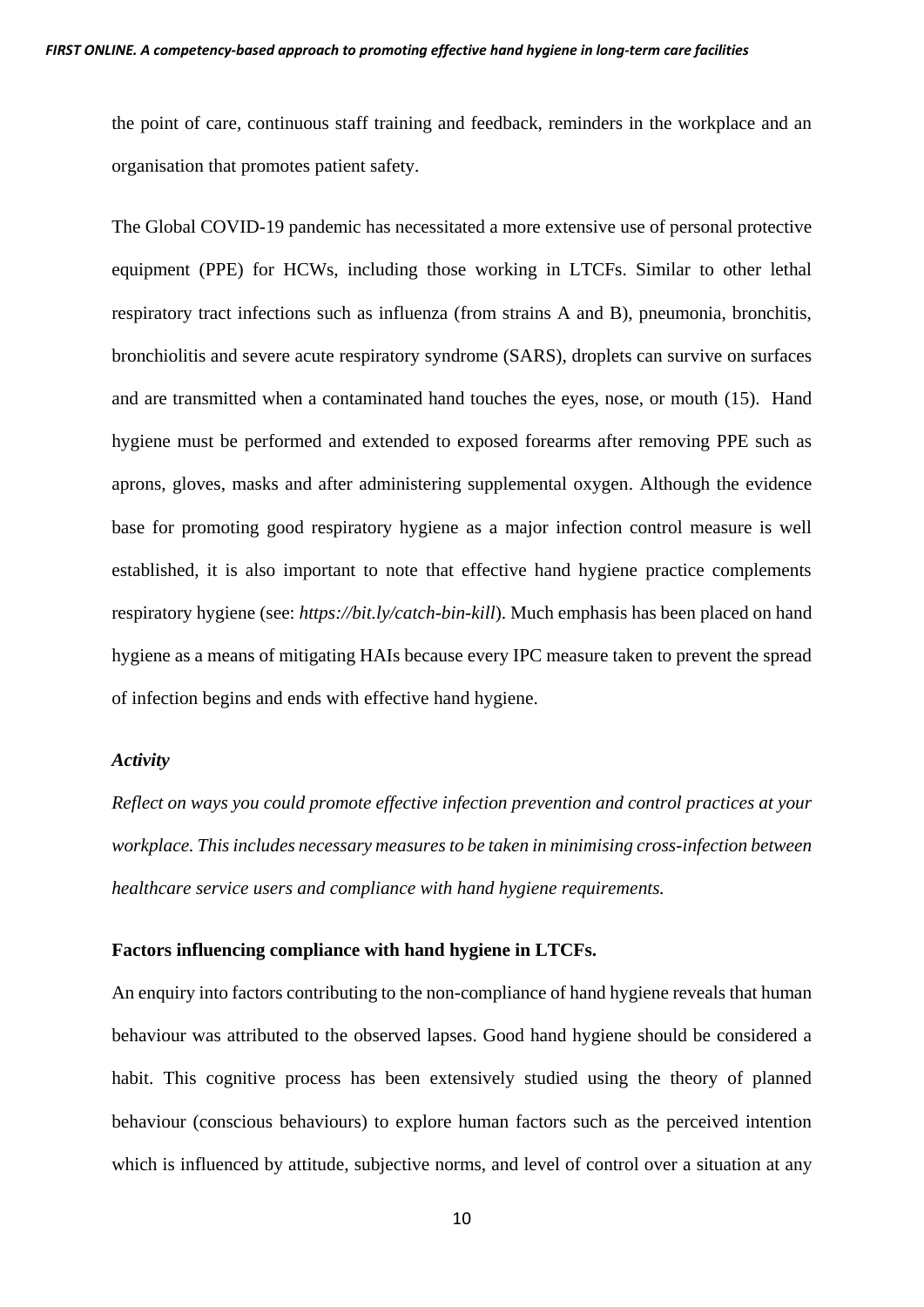the point of care, continuous staff training and feedback, reminders in the workplace and an organisation that promotes patient safety.

The Global COVID-19 pandemic has necessitated a more extensive use of personal protective equipment (PPE) for HCWs, including those working in LTCFs. Similar to other lethal respiratory tract infections such as influenza (from strains A and B), pneumonia, bronchitis, bronchiolitis and severe acute respiratory syndrome (SARS), droplets can survive on surfaces and are transmitted when a contaminated hand touches the eyes, nose, or mouth (15). Hand hygiene must be performed and extended to exposed forearms after removing PPE such as aprons, gloves, masks and after administering supplemental oxygen. Although the evidence base for promoting good respiratory hygiene as a major infection control measure is well established, it is also important to note that effective hand hygiene practice complements respiratory hygiene (see: *<https://bit.ly/catch-bin-kill>*). Much emphasis has been placed on hand hygiene as a means of mitigating HAIs because every IPC measure taken to prevent the spread of infection begins and ends with effective hand hygiene.

### *Activity*

*Reflect on ways you could promote effective infection prevention and control practices at your workplace. This includes necessary measures to be taken in minimising cross-infection between healthcare service users and compliance with hand hygiene requirements.*

# **Factors influencing compliance with hand hygiene in LTCFs.**

An enquiry into factors contributing to the non-compliance of hand hygiene reveals that human behaviour was attributed to the observed lapses. Good hand hygiene should be considered a habit. This cognitive process has been extensively studied using the theory of planned behaviour (conscious behaviours) to explore human factors such as the perceived intention which is influenced by attitude, subjective norms, and level of control over a situation at any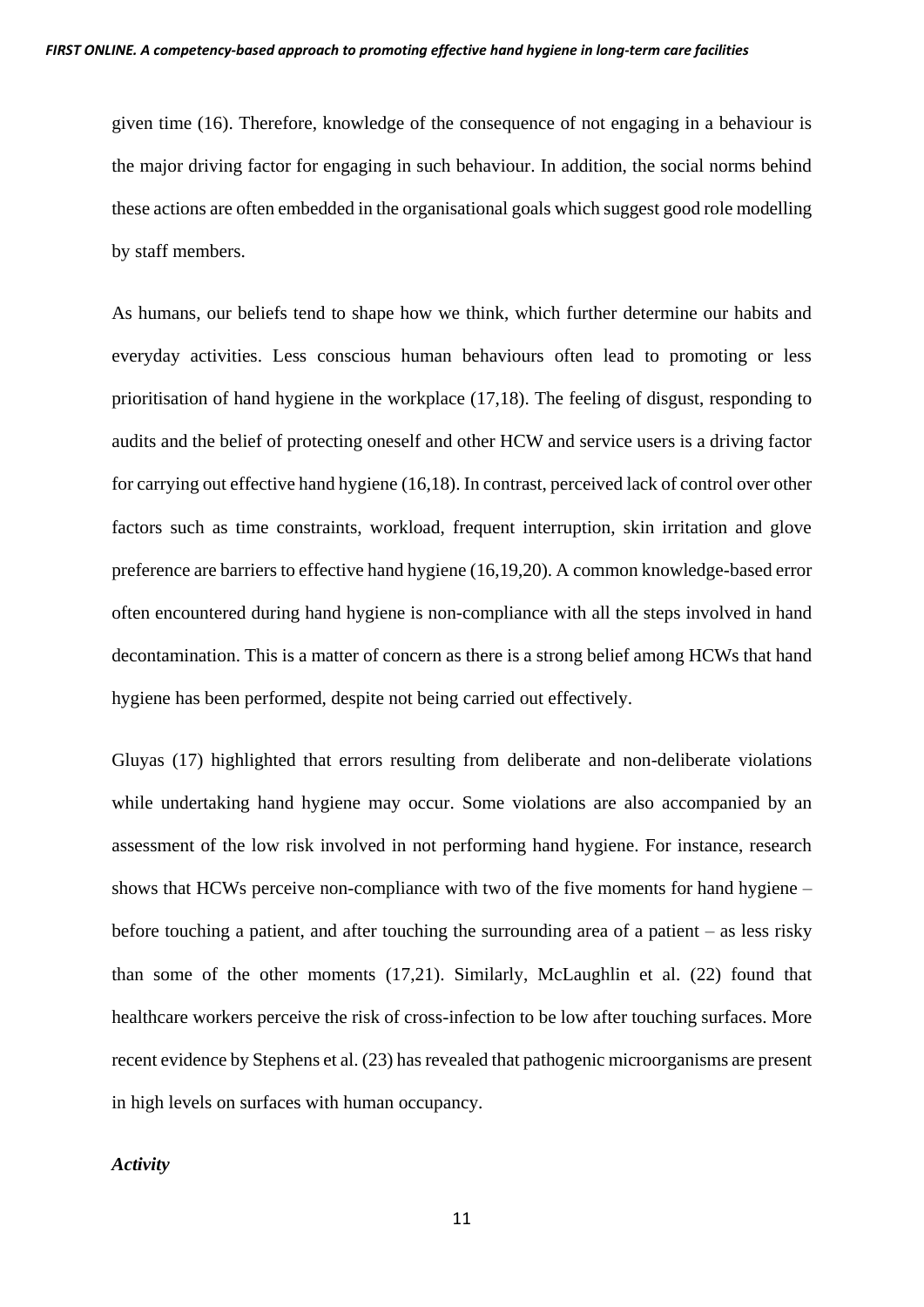given time (16). Therefore, knowledge of the consequence of not engaging in a behaviour is the major driving factor for engaging in such behaviour. In addition, the social norms behind these actions are often embedded in the organisational goals which suggest good role modelling by staff members.

As humans, our beliefs tend to shape how we think, which further determine our habits and everyday activities. Less conscious human behaviours often lead to promoting or less prioritisation of hand hygiene in the workplace (17,18). The feeling of disgust, responding to audits and the belief of protecting oneself and other HCW and service users is a driving factor for carrying out effective hand hygiene (16,18). In contrast, perceived lack of control over other factors such as time constraints, workload, frequent interruption, skin irritation and glove preference are barriers to effective hand hygiene (16,19,20). A common knowledge-based error often encountered during hand hygiene is non-compliance with all the steps involved in hand decontamination. This is a matter of concern as there is a strong belief among HCWs that hand hygiene has been performed, despite not being carried out effectively.

Gluyas (17) highlighted that errors resulting from deliberate and non-deliberate violations while undertaking hand hygiene may occur. Some violations are also accompanied by an assessment of the low risk involved in not performing hand hygiene. For instance, research shows that HCWs perceive non-compliance with two of the five moments for hand hygiene – before touching a patient, and after touching the surrounding area of a patient – as less risky than some of the other moments (17,21). Similarly, McLaughlin et al. (22) found that healthcare workers perceive the risk of cross-infection to be low after touching surfaces. More recent evidence by Stephens et al. (23) has revealed that pathogenic microorganisms are present in high levels on surfaces with human occupancy.

# *Activity*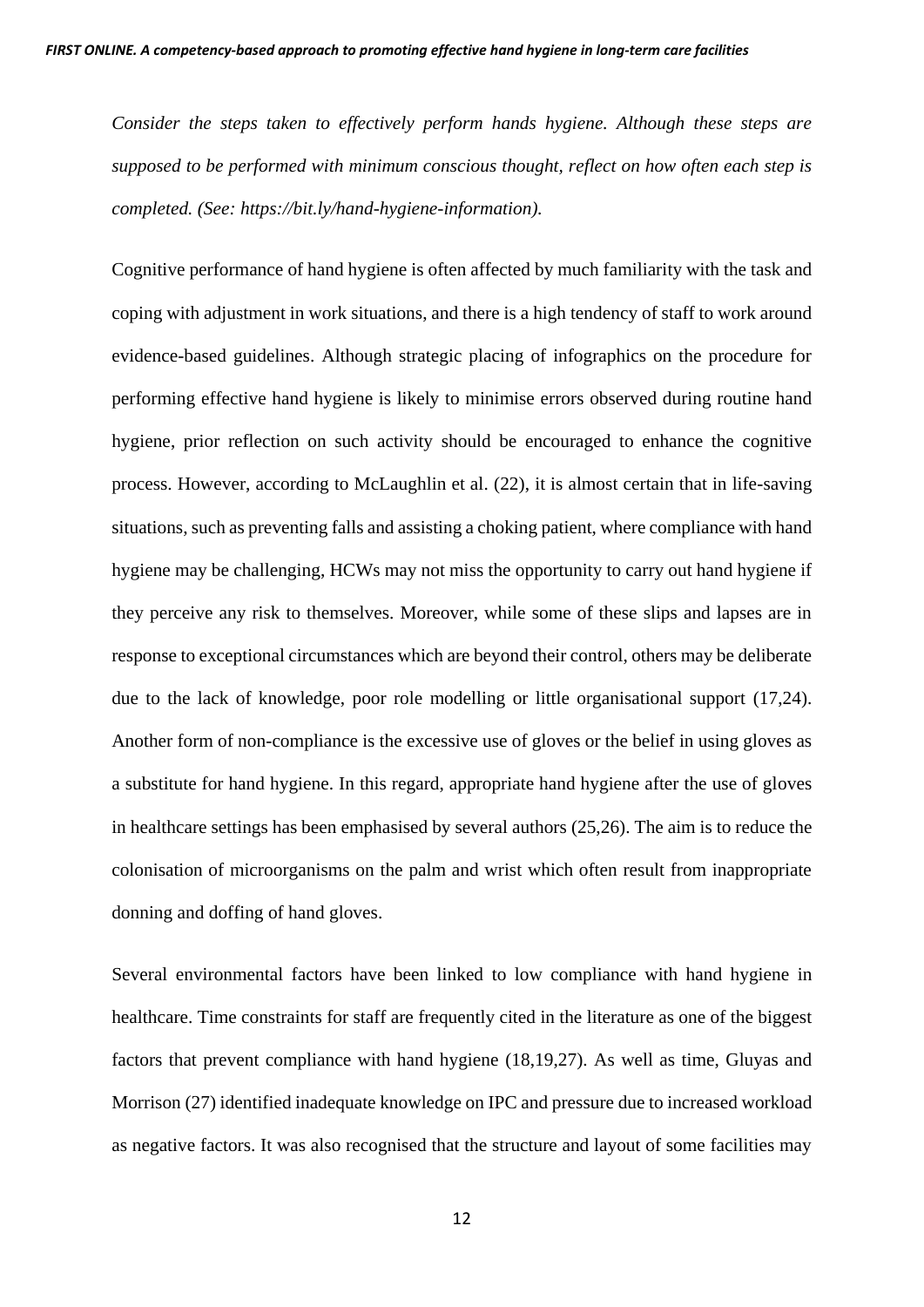*Consider the steps taken to effectively perform hands hygiene. Although these steps are supposed to be performed with minimum conscious thought, reflect on how often each step is completed. (See: [https://bit.ly/hand-hygiene-information\)](https://bit.ly/hand-hygiene-information).*

Cognitive performance of hand hygiene is often affected by much familiarity with the task and coping with adjustment in work situations, and there is a high tendency of staff to work around evidence-based guidelines. Although strategic placing of infographics on the procedure for performing effective hand hygiene is likely to minimise errors observed during routine hand hygiene, prior reflection on such activity should be encouraged to enhance the cognitive process. However, according to McLaughlin et al. (22), it is almost certain that in life-saving situations, such as preventing falls and assisting a choking patient, where compliance with hand hygiene may be challenging, HCWs may not miss the opportunity to carry out hand hygiene if they perceive any risk to themselves. Moreover, while some of these slips and lapses are in response to exceptional circumstances which are beyond their control, others may be deliberate due to the lack of knowledge, poor role modelling or little organisational support (17,24). Another form of non-compliance is the excessive use of gloves or the belief in using gloves as a substitute for hand hygiene. In this regard, appropriate hand hygiene after the use of gloves in healthcare settings has been emphasised by several authors (25,26). The aim is to reduce the colonisation of microorganisms on the palm and wrist which often result from inappropriate donning and doffing of hand gloves.

Several environmental factors have been linked to low compliance with hand hygiene in healthcare. Time constraints for staff are frequently cited in the literature as one of the biggest factors that prevent compliance with hand hygiene (18,19,27). As well as time, Gluyas and Morrison (27) identified inadequate knowledge on IPC and pressure due to increased workload as negative factors. It was also recognised that the structure and layout of some facilities may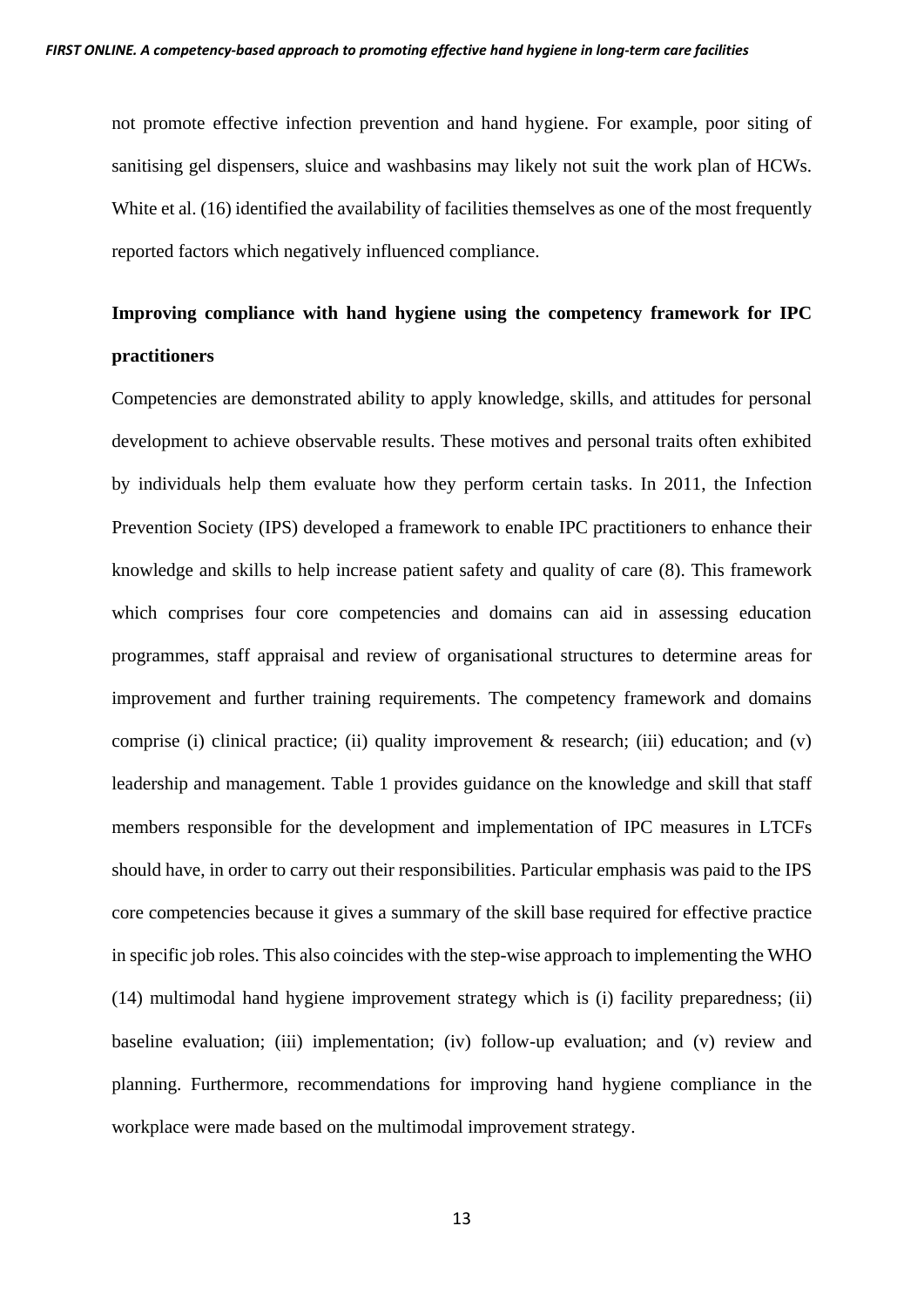not promote effective infection prevention and hand hygiene. For example, poor siting of sanitising gel dispensers, sluice and washbasins may likely not suit the work plan of HCWs. White et al. (16) identified the availability of facilities themselves as one of the most frequently reported factors which negatively influenced compliance.

# **Improving compliance with hand hygiene using the competency framework for IPC practitioners**

Competencies are demonstrated ability to apply knowledge, skills, and attitudes for personal development to achieve observable results. These motives and personal traits often exhibited by individuals help them evaluate how they perform certain tasks. In 2011, the Infection Prevention Society (IPS) developed a framework to enable IPC practitioners to enhance their knowledge and skills to help increase patient safety and quality of care (8). This framework which comprises four core competencies and domains can aid in assessing education programmes, staff appraisal and review of organisational structures to determine areas for improvement and further training requirements. The competency framework and domains comprise (i) clinical practice; (ii) quality improvement  $\&$  research; (iii) education; and (v) leadership and management. Table 1 provides guidance on the knowledge and skill that staff members responsible for the development and implementation of IPC measures in LTCFs should have, in order to carry out their responsibilities. Particular emphasis was paid to the IPS core competencies because it gives a summary of the skill base required for effective practice in specific job roles. This also coincides with the step-wise approach to implementing the WHO (14) multimodal hand hygiene improvement strategy which is (i) facility preparedness; (ii) baseline evaluation; (iii) implementation; (iv) follow-up evaluation; and (v) review and planning. Furthermore, recommendations for improving hand hygiene compliance in the workplace were made based on the multimodal improvement strategy.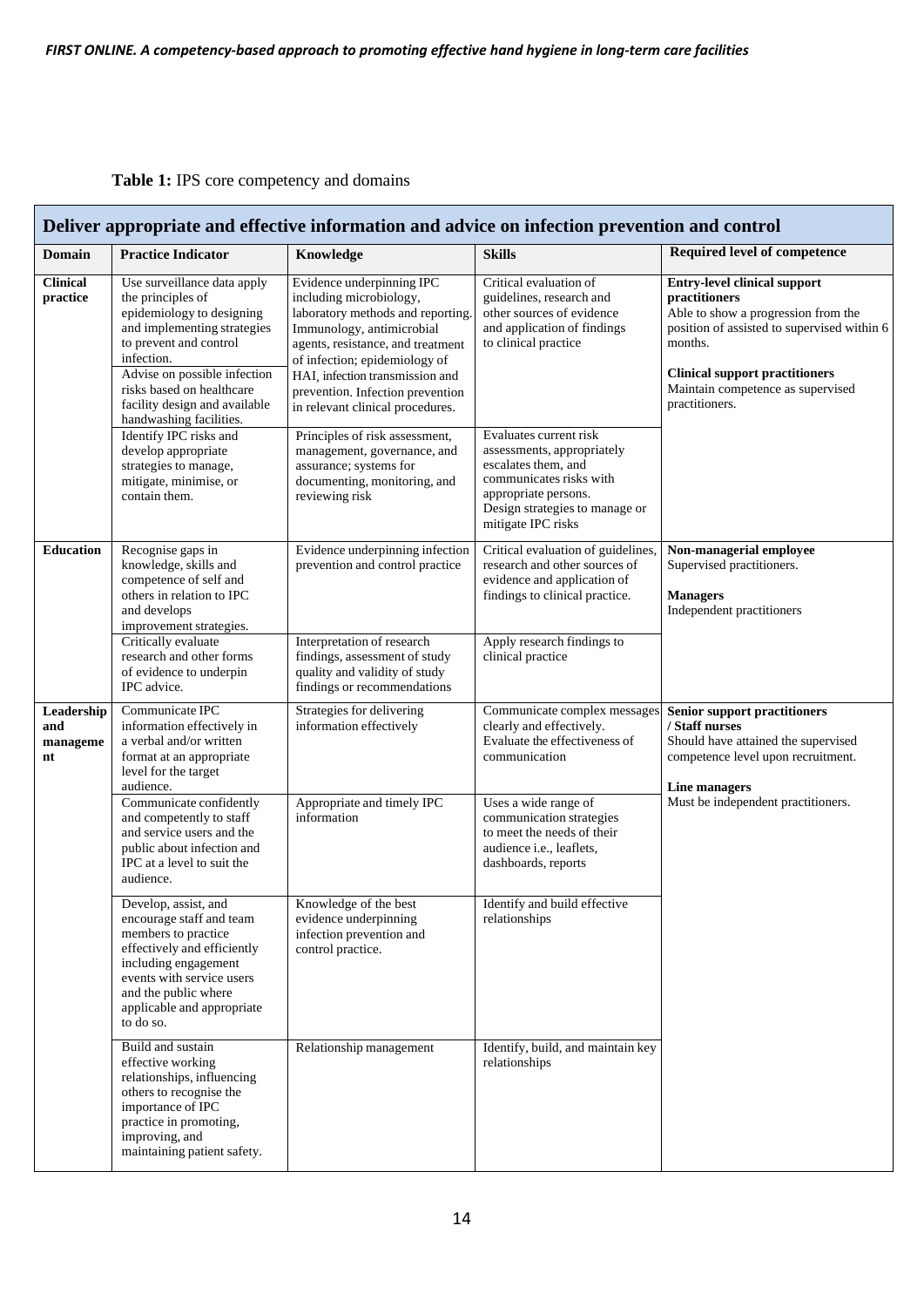# **Table 1:** IPS core competency and domains

| Deliver appropriate and effective information and advice on infection prevention and control |                                                                                                                                                                                                                                                                               |                                                                                                                                                                                                                                                                                                         |                                                                                                                                                                                        |                                                                                                                                                                                                                                                              |  |  |  |
|----------------------------------------------------------------------------------------------|-------------------------------------------------------------------------------------------------------------------------------------------------------------------------------------------------------------------------------------------------------------------------------|---------------------------------------------------------------------------------------------------------------------------------------------------------------------------------------------------------------------------------------------------------------------------------------------------------|----------------------------------------------------------------------------------------------------------------------------------------------------------------------------------------|--------------------------------------------------------------------------------------------------------------------------------------------------------------------------------------------------------------------------------------------------------------|--|--|--|
| Domain                                                                                       | <b>Practice Indicator</b>                                                                                                                                                                                                                                                     | Knowledge                                                                                                                                                                                                                                                                                               | <b>Skills</b>                                                                                                                                                                          | <b>Required level of competence</b>                                                                                                                                                                                                                          |  |  |  |
| <b>Clinical</b><br>practice                                                                  | Use surveillance data apply<br>the principles of<br>epidemiology to designing<br>and implementing strategies<br>to prevent and control<br>infection.<br>Advise on possible infection<br>risks based on healthcare<br>facility design and available<br>handwashing facilities. | Evidence underpinning IPC<br>including microbiology,<br>laboratory methods and reporting.<br>Immunology, antimicrobial<br>agents, resistance, and treatment<br>of infection; epidemiology of<br>HAI, infection transmission and<br>prevention. Infection prevention<br>in relevant clinical procedures. | Critical evaluation of<br>guidelines, research and<br>other sources of evidence<br>and application of findings<br>to clinical practice                                                 | <b>Entry-level clinical support</b><br><b>practitioners</b><br>Able to show a progression from the<br>position of assisted to supervised within 6<br>months.<br><b>Clinical support practitioners</b><br>Maintain competence as supervised<br>practitioners. |  |  |  |
|                                                                                              | Identify IPC risks and<br>develop appropriate<br>strategies to manage,<br>mitigate, minimise, or<br>contain them.                                                                                                                                                             | Principles of risk assessment,<br>management, governance, and<br>assurance; systems for<br>documenting, monitoring, and<br>reviewing risk                                                                                                                                                               | Evaluates current risk<br>assessments, appropriately<br>escalates them, and<br>communicates risks with<br>appropriate persons.<br>Design strategies to manage or<br>mitigate IPC risks |                                                                                                                                                                                                                                                              |  |  |  |
| <b>Education</b>                                                                             | Recognise gaps in<br>knowledge, skills and<br>competence of self and<br>others in relation to IPC<br>and develops<br>improvement strategies.                                                                                                                                  | Evidence underpinning infection<br>prevention and control practice                                                                                                                                                                                                                                      | Critical evaluation of guidelines,<br>research and other sources of<br>evidence and application of<br>findings to clinical practice.                                                   | Non-managerial employee<br>Supervised practitioners.<br><b>Managers</b><br>Independent practitioners                                                                                                                                                         |  |  |  |
|                                                                                              | Critically evaluate<br>research and other forms<br>of evidence to underpin<br>IPC advice.                                                                                                                                                                                     | Interpretation of research<br>findings, assessment of study<br>quality and validity of study<br>findings or recommendations                                                                                                                                                                             | Apply research findings to<br>clinical practice                                                                                                                                        |                                                                                                                                                                                                                                                              |  |  |  |
| Leadership<br>and<br>manageme<br>nt                                                          | Communicate IPC<br>information effectively in<br>a verbal and/or written<br>format at an appropriate<br>level for the target<br>audience.                                                                                                                                     | Strategies for delivering<br>information effectively                                                                                                                                                                                                                                                    | Communicate complex messages<br>clearly and effectively.<br>Evaluate the effectiveness of<br>communication                                                                             | <b>Senior support practitioners</b><br>/ Staff nurses<br>Should have attained the supervised<br>competence level upon recruitment.<br>Line managers<br>Must be independent practitioners.                                                                    |  |  |  |
|                                                                                              | Communicate confidently<br>and competently to staff<br>and service users and the<br>public about infection and<br>IPC at a level to suit the<br>audience.                                                                                                                     | Appropriate and timely IPC<br>information                                                                                                                                                                                                                                                               | Uses a wide range of<br>communication strategies<br>to meet the needs of their<br>audience i.e., leaflets,<br>dashboards, reports                                                      |                                                                                                                                                                                                                                                              |  |  |  |
|                                                                                              | Develop, assist, and<br>encourage staff and team<br>members to practice<br>effectively and efficiently<br>including engagement<br>events with service users<br>and the public where<br>applicable and appropriate<br>to do so.                                                | Knowledge of the best<br>evidence underpinning<br>infection prevention and<br>control practice.                                                                                                                                                                                                         | Identify and build effective<br>relationships                                                                                                                                          |                                                                                                                                                                                                                                                              |  |  |  |
|                                                                                              | Build and sustain<br>effective working<br>relationships, influencing<br>others to recognise the<br>importance of IPC<br>practice in promoting,<br>improving, and<br>maintaining patient safety.                                                                               | Relationship management                                                                                                                                                                                                                                                                                 | Identify, build, and maintain key<br>relationships                                                                                                                                     |                                                                                                                                                                                                                                                              |  |  |  |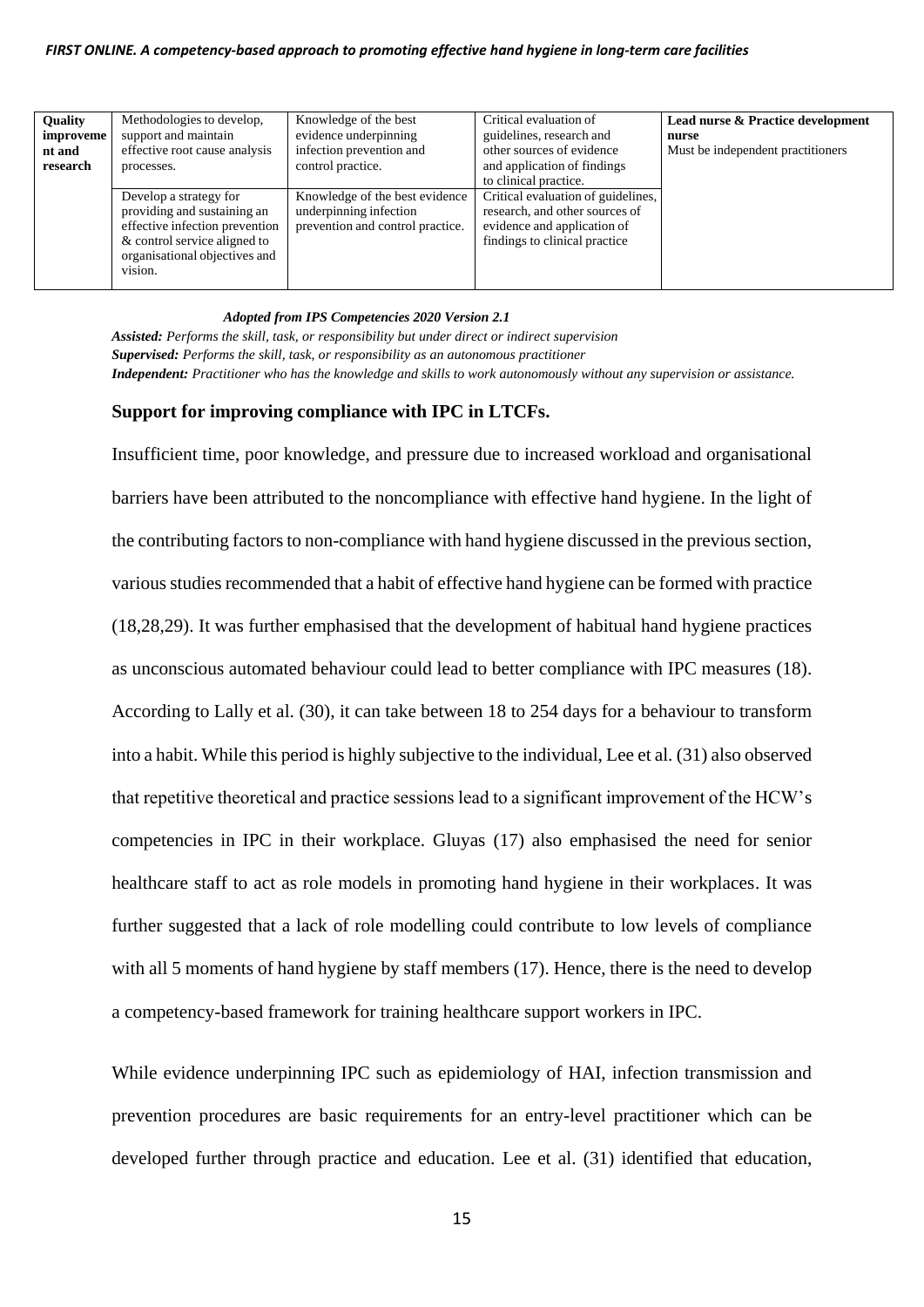| Quality<br>improveme<br>nt and<br>research | Methodologies to develop,<br>support and maintain<br>effective root cause analysis<br>processes.                                                                    | Knowledge of the best<br>evidence underpinning<br>infection prevention and<br>control practice. | Critical evaluation of<br>guidelines, research and<br>other sources of evidence<br>and application of findings<br>to clinical practice. | Lead nurse & Practice development<br>nurse<br>Must be independent practitioners |
|--------------------------------------------|---------------------------------------------------------------------------------------------------------------------------------------------------------------------|-------------------------------------------------------------------------------------------------|-----------------------------------------------------------------------------------------------------------------------------------------|---------------------------------------------------------------------------------|
|                                            | Develop a strategy for<br>providing and sustaining an<br>effective infection prevention<br>& control service aligned to<br>organisational objectives and<br>vision. | Knowledge of the best evidence<br>underpinning infection<br>prevention and control practice.    | Critical evaluation of guidelines,<br>research, and other sources of<br>evidence and application of<br>findings to clinical practice    |                                                                                 |

#### *Adopted from IPS Competencies 2020 Version 2.1*

*Assisted: Performs the skill, task, or responsibility but under direct or indirect supervision Supervised: Performs the skill, task, or responsibility as an autonomous practitioner Independent: Practitioner who has the knowledge and skills to work autonomously without any supervision or assistance.*

## **Support for improving compliance with IPC in LTCFs.**

Insufficient time, poor knowledge, and pressure due to increased workload and organisational barriers have been attributed to the noncompliance with effective hand hygiene. In the light of the contributing factors to non-compliance with hand hygiene discussed in the previous section, various studies recommended that a habit of effective hand hygiene can be formed with practice (18,28,29). It was further emphasised that the development of habitual hand hygiene practices as unconscious automated behaviour could lead to better compliance with IPC measures (18). According to Lally et al. (30), it can take between 18 to 254 days for a behaviour to transform into a habit. While this period is highly subjective to the individual, Lee et al. (31) also observed that repetitive theoretical and practice sessions lead to a significant improvement of the HCW's competencies in IPC in their workplace. Gluyas (17) also emphasised the need for senior healthcare staff to act as role models in promoting hand hygiene in their workplaces. It was further suggested that a lack of role modelling could contribute to low levels of compliance with all 5 moments of hand hygiene by staff members (17). Hence, there is the need to develop a competency-based framework for training healthcare support workers in IPC.

While evidence underpinning IPC such as epidemiology of HAI, infection transmission and prevention procedures are basic requirements for an entry-level practitioner which can be developed further through practice and education. Lee et al. (31) identified that education,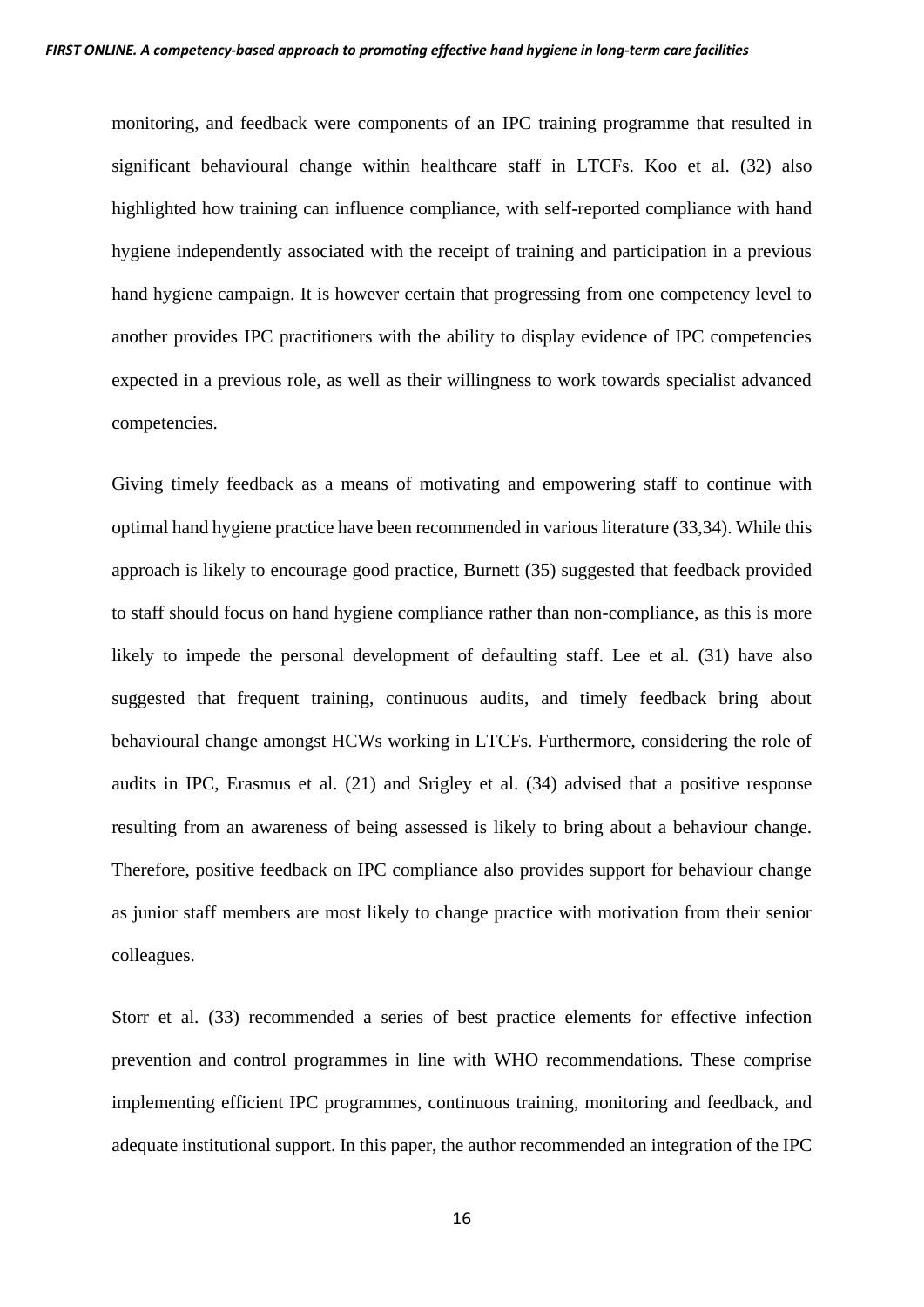monitoring, and feedback were components of an IPC training programme that resulted in significant behavioural change within healthcare staff in LTCFs. Koo et al. (32) also highlighted how training can influence compliance, with self-reported compliance with hand hygiene independently associated with the receipt of training and participation in a previous hand hygiene campaign. It is however certain that progressing from one competency level to another provides IPC practitioners with the ability to display evidence of IPC competencies expected in a previous role, as well as their willingness to work towards specialist advanced competencies.

Giving timely feedback as a means of motivating and empowering staff to continue with optimal hand hygiene practice have been recommended in various literature (33,34). While this approach is likely to encourage good practice, Burnett (35) suggested that feedback provided to staff should focus on hand hygiene compliance rather than non-compliance, as this is more likely to impede the personal development of defaulting staff. Lee et al. (31) have also suggested that frequent training, continuous audits, and timely feedback bring about behavioural change amongst HCWs working in LTCFs. Furthermore, considering the role of audits in IPC, Erasmus et al. (21) and Srigley et al. (34) advised that a positive response resulting from an awareness of being assessed is likely to bring about a behaviour change. Therefore, positive feedback on IPC compliance also provides support for behaviour change as junior staff members are most likely to change practice with motivation from their senior colleagues.

Storr et al. (33) recommended a series of best practice elements for effective infection prevention and control programmes in line with WHO recommendations. These comprise implementing efficient IPC programmes, continuous training, monitoring and feedback, and adequate institutional support. In this paper, the author recommended an integration of the IPC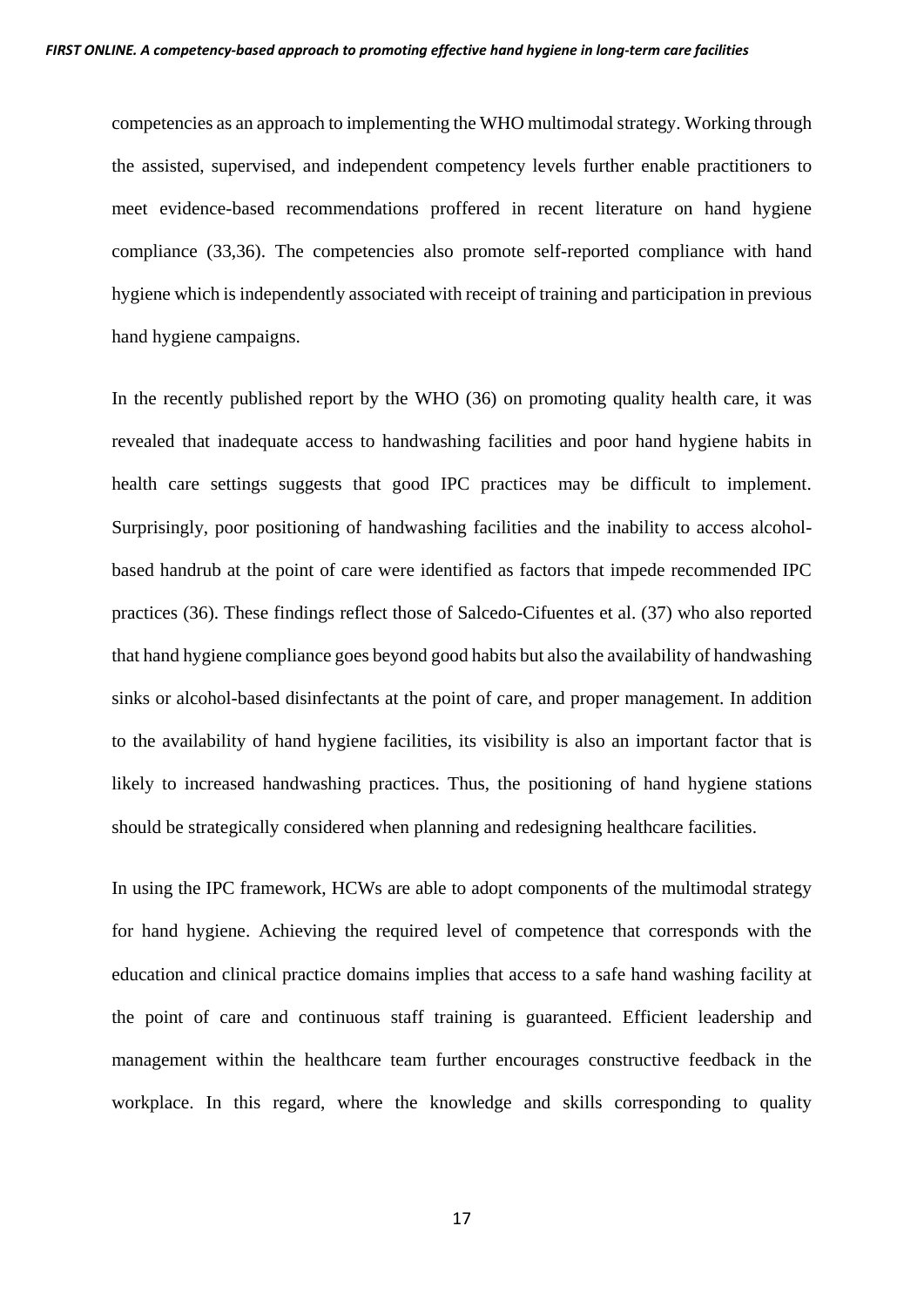competencies as an approach to implementing the WHO multimodal strategy. Working through the assisted, supervised, and independent competency levels further enable practitioners to meet evidence-based recommendations proffered in recent literature on hand hygiene compliance (33,36). The competencies also promote self-reported compliance with hand hygiene which is independently associated with receipt of training and participation in previous hand hygiene campaigns.

In the recently published report by the WHO (36) on promoting quality health care, it was revealed that inadequate access to handwashing facilities and poor hand hygiene habits in health care settings suggests that good IPC practices may be difficult to implement. Surprisingly, poor positioning of handwashing facilities and the inability to access alcoholbased handrub at the point of care were identified as factors that impede recommended IPC practices (36). These findings reflect those of Salcedo-Cifuentes et al. (37) who also reported that hand hygiene compliance goes beyond good habits but also the availability of handwashing sinks or alcohol-based disinfectants at the point of care, and proper management. In addition to the availability of hand hygiene facilities, its visibility is also an important factor that is likely to increased handwashing practices. Thus, the positioning of hand hygiene stations should be strategically considered when planning and redesigning healthcare facilities.

In using the IPC framework, HCWs are able to adopt components of the multimodal strategy for hand hygiene. Achieving the required level of competence that corresponds with the education and clinical practice domains implies that access to a safe hand washing facility at the point of care and continuous staff training is guaranteed. Efficient leadership and management within the healthcare team further encourages constructive feedback in the workplace. In this regard, where the knowledge and skills corresponding to quality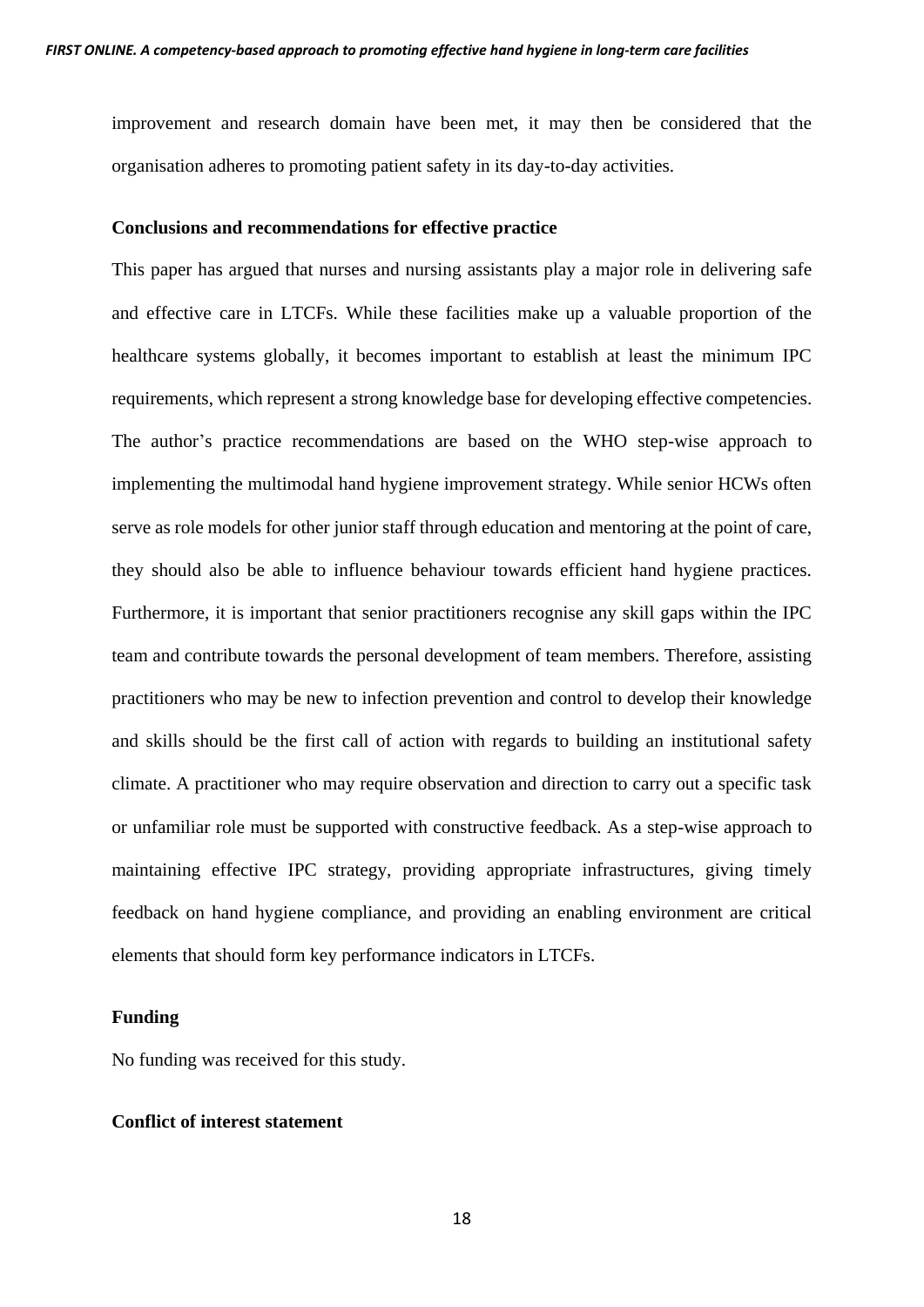improvement and research domain have been met, it may then be considered that the organisation adheres to promoting patient safety in its day-to-day activities.

#### **Conclusions and recommendations for effective practice**

This paper has argued that nurses and nursing assistants play a major role in delivering safe and effective care in LTCFs. While these facilities make up a valuable proportion of the healthcare systems globally, it becomes important to establish at least the minimum IPC requirements, which represent a strong knowledge base for developing effective competencies. The author's practice recommendations are based on the WHO step-wise approach to implementing the multimodal hand hygiene improvement strategy. While senior HCWs often serve as role models for other junior staff through education and mentoring at the point of care, they should also be able to influence behaviour towards efficient hand hygiene practices. Furthermore, it is important that senior practitioners recognise any skill gaps within the IPC team and contribute towards the personal development of team members. Therefore, assisting practitioners who may be new to infection prevention and control to develop their knowledge and skills should be the first call of action with regards to building an institutional safety climate. A practitioner who may require observation and direction to carry out a specific task or unfamiliar role must be supported with constructive feedback. As a step-wise approach to maintaining effective IPC strategy, providing appropriate infrastructures, giving timely feedback on hand hygiene compliance, and providing an enabling environment are critical elements that should form key performance indicators in LTCFs.

# **Funding**

No funding was received for this study.

# **Conflict of interest statement**

18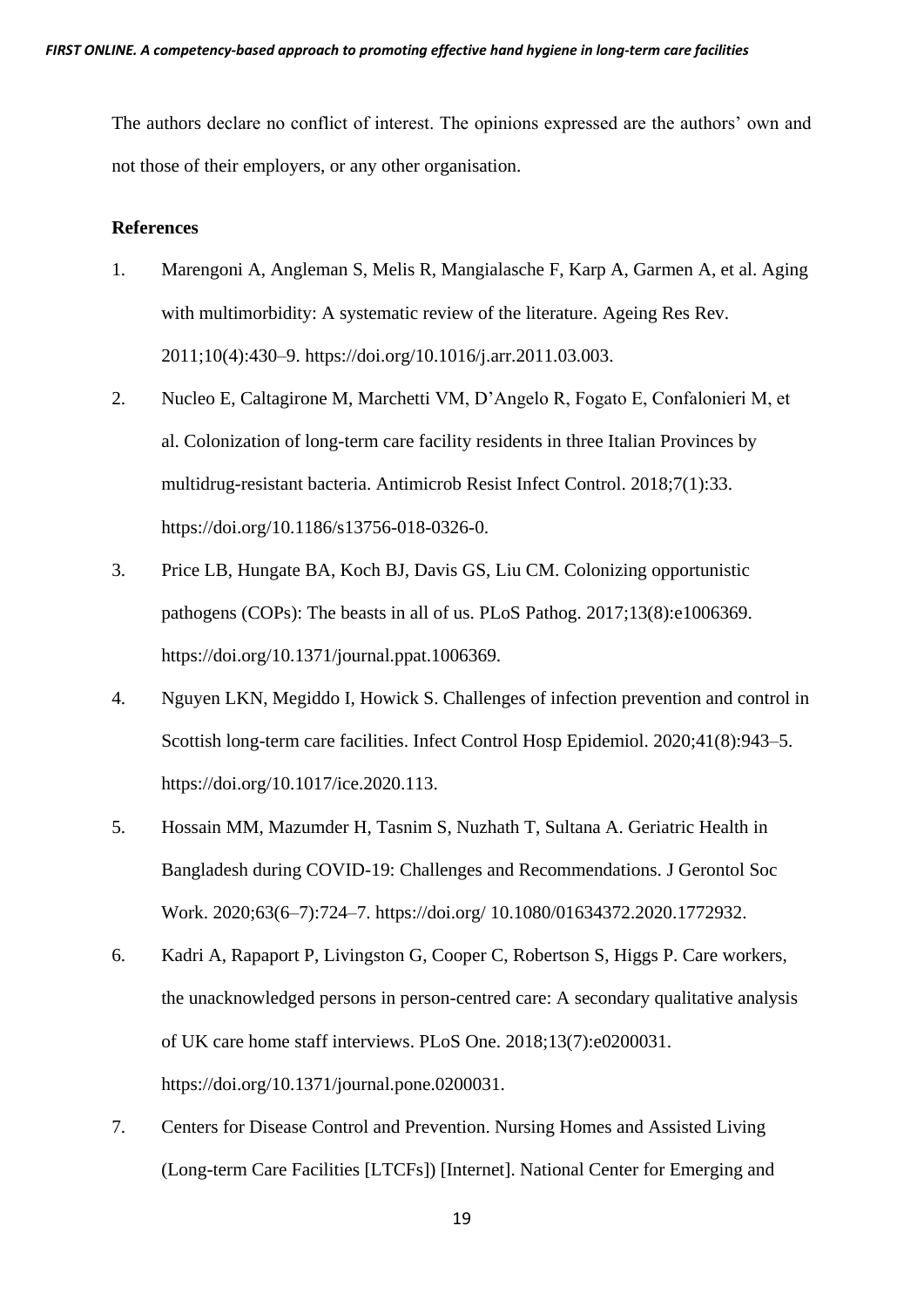The authors declare no conflict of interest. The opinions expressed are the authors' own and not those of their employers, or any other organisation.

#### **References**

- 1. Marengoni A, Angleman S, Melis R, Mangialasche F, Karp A, Garmen A, et al. Aging with multimorbidity: A systematic review of the literature. Ageing Res Rev. 2011;10(4):430–9. https://doi.org/10.1016/j.arr.2011.03.003.
- 2. Nucleo E, Caltagirone M, Marchetti VM, D'Angelo R, Fogato E, Confalonieri M, et al. Colonization of long-term care facility residents in three Italian Provinces by multidrug-resistant bacteria. Antimicrob Resist Infect Control. 2018;7(1):33. https://doi.org/10.1186/s13756-018-0326-0.
- 3. Price LB, Hungate BA, Koch BJ, Davis GS, Liu CM. Colonizing opportunistic pathogens (COPs): The beasts in all of us. PLoS Pathog. 2017;13(8):e1006369. https://doi.org/10.1371/journal.ppat.1006369.
- 4. Nguyen LKN, Megiddo I, Howick S. Challenges of infection prevention and control in Scottish long-term care facilities. Infect Control Hosp Epidemiol. 2020;41(8):943–5. https://doi.org/10.1017/ice.2020.113.
- 5. Hossain MM, Mazumder H, Tasnim S, Nuzhath T, Sultana A. Geriatric Health in Bangladesh during COVID-19: Challenges and Recommendations. J Gerontol Soc Work. 2020;63(6–7):724–7. https://doi.org/ 10.1080/01634372.2020.1772932.
- 6. Kadri A, Rapaport P, Livingston G, Cooper C, Robertson S, Higgs P. Care workers, the unacknowledged persons in person-centred care: A secondary qualitative analysis of UK care home staff interviews. PLoS One. 2018;13(7):e0200031. https://doi.org/10.1371/journal.pone.0200031.
- 7. Centers for Disease Control and Prevention. Nursing Homes and Assisted Living (Long-term Care Facilities [LTCFs]) [Internet]. National Center for Emerging and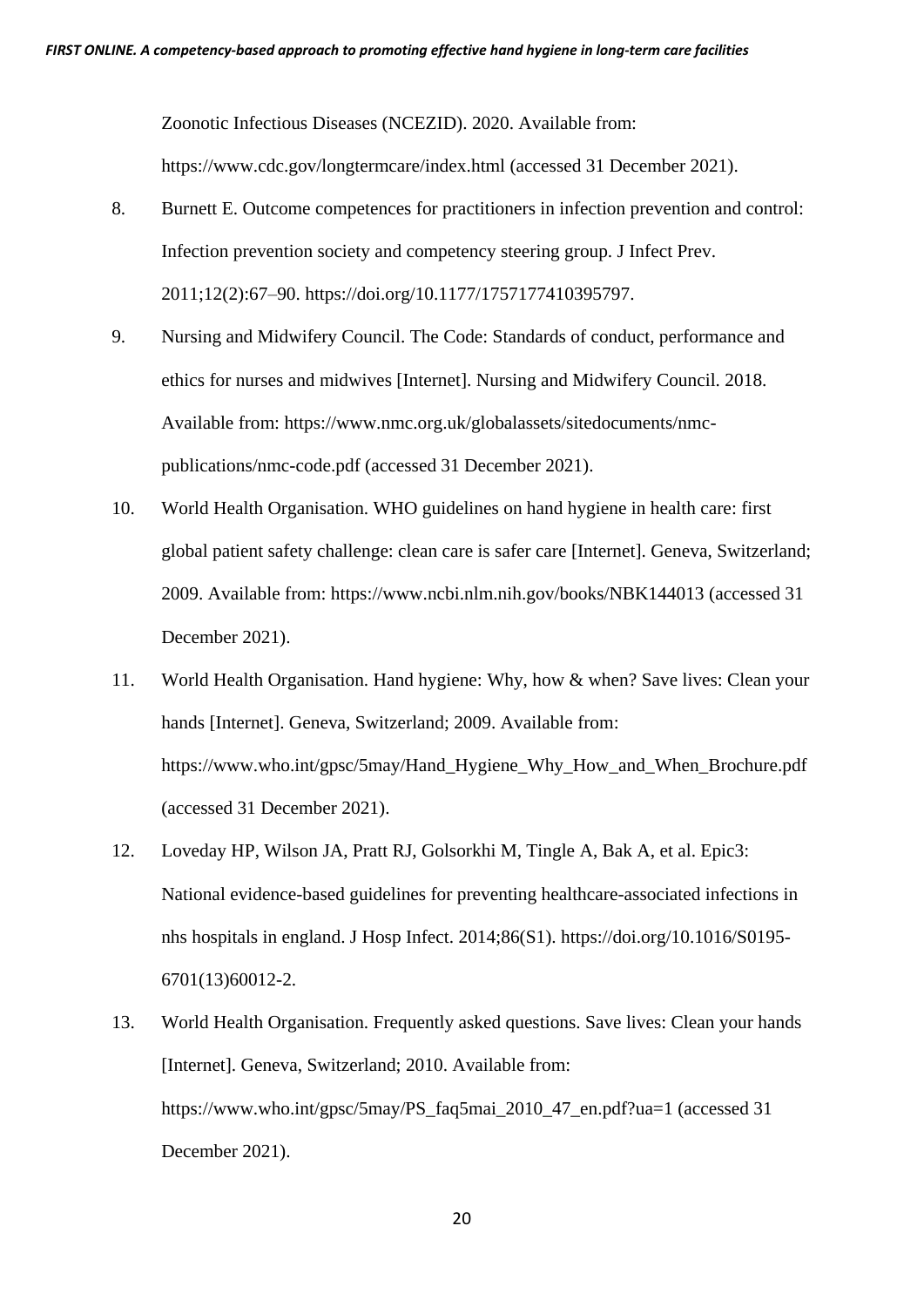Zoonotic Infectious Diseases (NCEZID). 2020. Available from: https://www.cdc.gov/longtermcare/index.html (accessed 31 December 2021).

- 8. Burnett E. Outcome competences for practitioners in infection prevention and control: Infection prevention society and competency steering group. J Infect Prev. 2011;12(2):67–90. https://doi.org/10.1177/1757177410395797.
- 9. Nursing and Midwifery Council. The Code: Standards of conduct, performance and ethics for nurses and midwives [Internet]. Nursing and Midwifery Council. 2018. Available from: https://www.nmc.org.uk/globalassets/sitedocuments/nmcpublications/nmc-code.pdf (accessed 31 December 2021).
- 10. World Health Organisation. WHO guidelines on hand hygiene in health care: first global patient safety challenge: clean care is safer care [Internet]. Geneva, Switzerland; 2009. Available from: https://www.ncbi.nlm.nih.gov/books/NBK144013 (accessed 31 December 2021).
- 11. World Health Organisation. Hand hygiene: Why, how & when? Save lives: Clean your hands [Internet]. Geneva, Switzerland; 2009. Available from: https://www.who.int/gpsc/5may/Hand Hygiene Why How and When Brochure.pdf (accessed 31 December 2021).
- 12. Loveday HP, Wilson JA, Pratt RJ, Golsorkhi M, Tingle A, Bak A, et al. Epic3: National evidence-based guidelines for preventing healthcare-associated infections in nhs hospitals in england. J Hosp Infect. 2014;86(S1). https://doi.org/10.1016/S0195- 6701(13)60012-2.
- 13. World Health Organisation. Frequently asked questions. Save lives: Clean your hands [Internet]. Geneva, Switzerland; 2010. Available from: https://www.who.int/gpsc/5may/PS\_faq5mai\_2010\_47\_en.pdf?ua=1 (accessed 31 December 2021).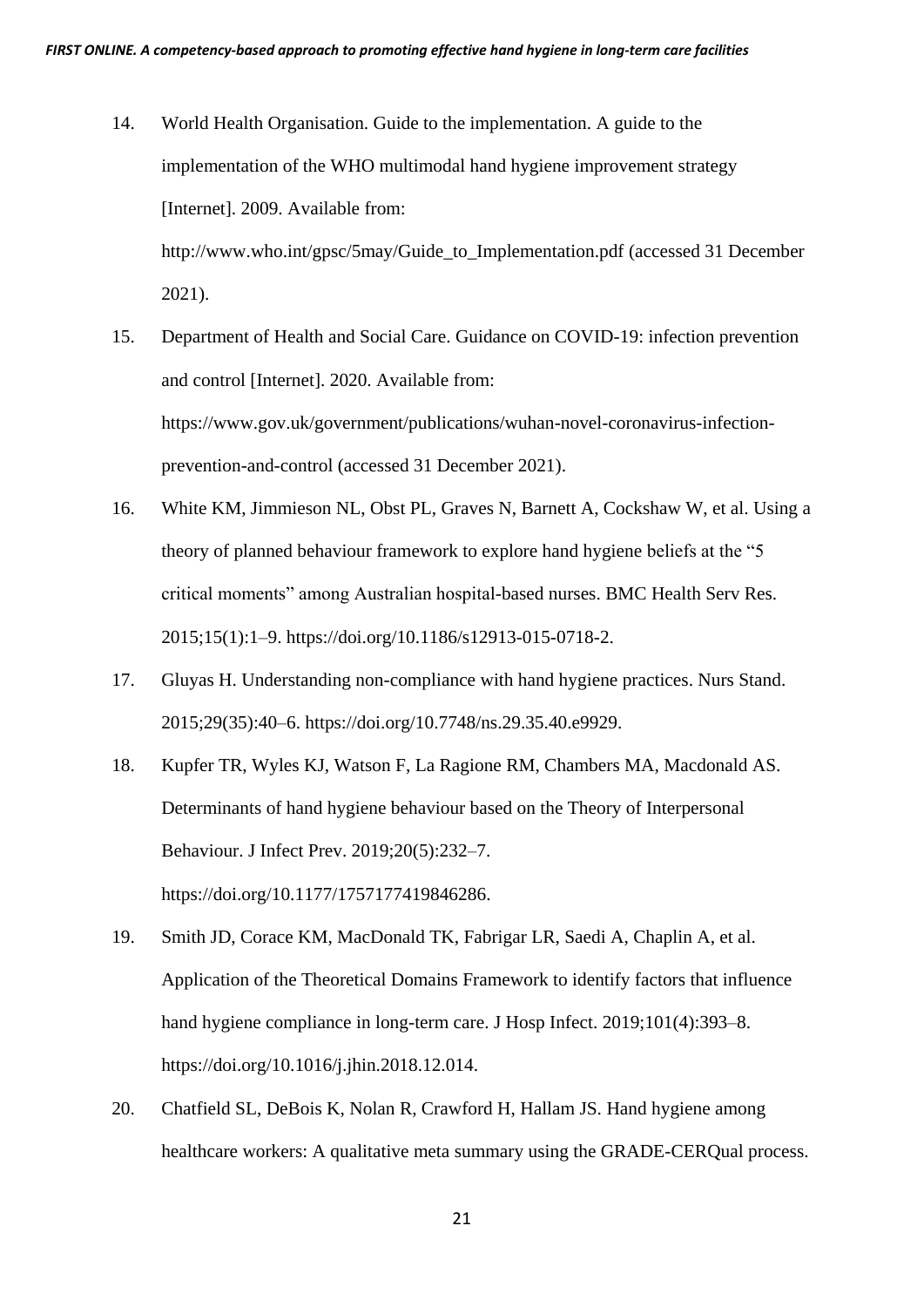- 14. World Health Organisation. Guide to the implementation. A guide to the implementation of the WHO multimodal hand hygiene improvement strategy [Internet]. 2009. Available from: http://www.who.int/gpsc/5may/Guide\_to\_Implementation.pdf (accessed 31 December 2021).
- 15. Department of Health and Social Care. Guidance on COVID-19: infection prevention and control [Internet]. 2020. Available from: https://www.gov.uk/government/publications/wuhan-novel-coronavirus-infectionprevention-and-control (accessed 31 December 2021).
- 16. White KM, Jimmieson NL, Obst PL, Graves N, Barnett A, Cockshaw W, et al. Using a theory of planned behaviour framework to explore hand hygiene beliefs at the "5 critical moments" among Australian hospital-based nurses. BMC Health Serv Res. 2015;15(1):1–9. https://doi.org/10.1186/s12913-015-0718-2.
- 17. Gluyas H. Understanding non-compliance with hand hygiene practices. Nurs Stand. 2015;29(35):40–6. https://doi.org/10.7748/ns.29.35.40.e9929.
- 18. Kupfer TR, Wyles KJ, Watson F, La Ragione RM, Chambers MA, Macdonald AS. Determinants of hand hygiene behaviour based on the Theory of Interpersonal Behaviour. J Infect Prev. 2019;20(5):232–7. https://doi.org/10.1177/1757177419846286.
- 19. Smith JD, Corace KM, MacDonald TK, Fabrigar LR, Saedi A, Chaplin A, et al. Application of the Theoretical Domains Framework to identify factors that influence hand hygiene compliance in long-term care. J Hosp Infect. 2019;101(4):393–8. https://doi.org/10.1016/j.jhin.2018.12.014.
- 20. Chatfield SL, DeBois K, Nolan R, Crawford H, Hallam JS. Hand hygiene among healthcare workers: A qualitative meta summary using the GRADE-CERQual process.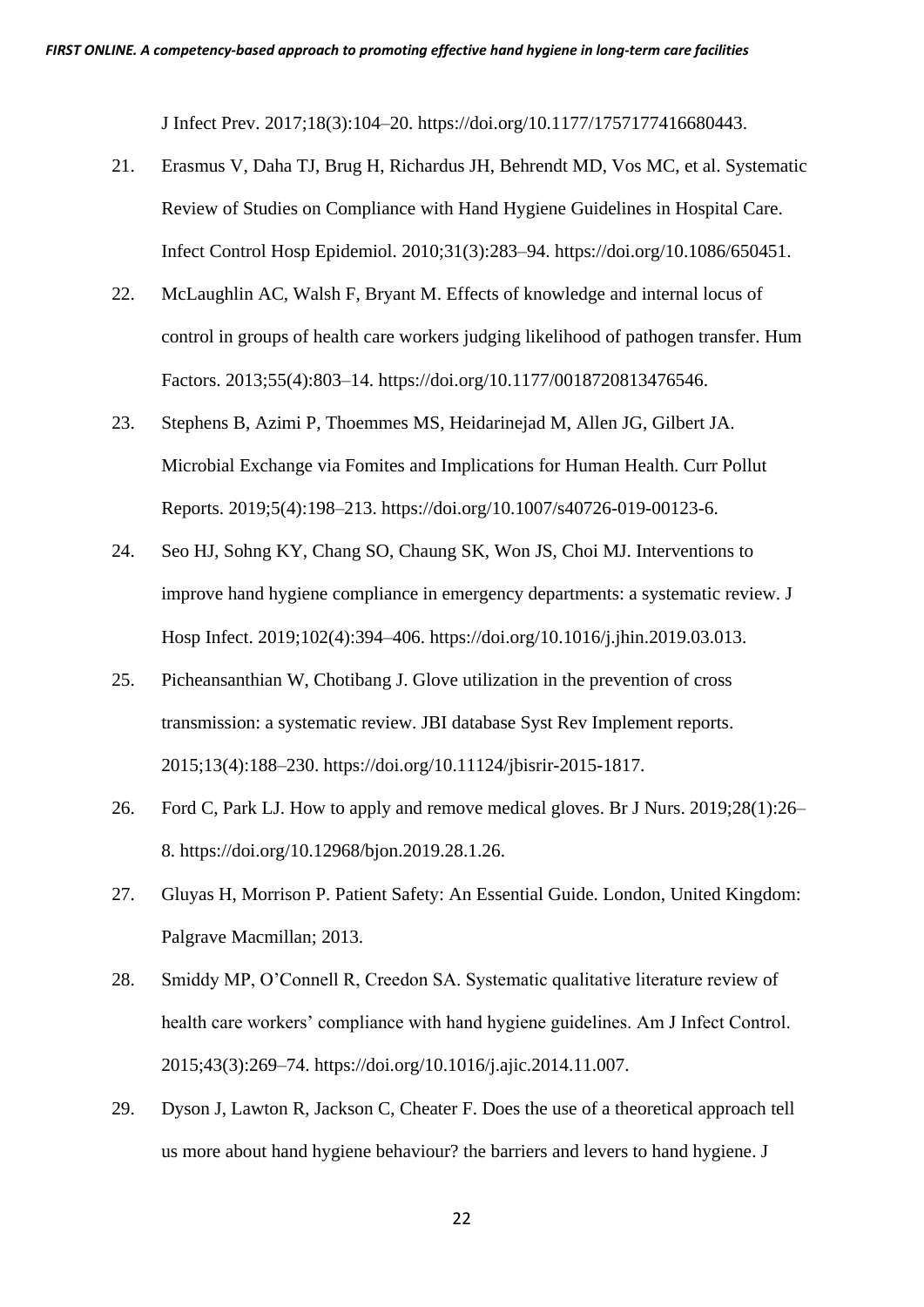J Infect Prev. 2017;18(3):104–20. https://doi.org/10.1177/1757177416680443.

- 21. Erasmus V, Daha TJ, Brug H, Richardus JH, Behrendt MD, Vos MC, et al. Systematic Review of Studies on Compliance with Hand Hygiene Guidelines in Hospital Care. Infect Control Hosp Epidemiol. 2010;31(3):283–94. https://doi.org/10.1086/650451.
- 22. McLaughlin AC, Walsh F, Bryant M. Effects of knowledge and internal locus of control in groups of health care workers judging likelihood of pathogen transfer. Hum Factors. 2013;55(4):803–14. https://doi.org/10.1177/0018720813476546.
- 23. Stephens B, Azimi P, Thoemmes MS, Heidarinejad M, Allen JG, Gilbert JA. Microbial Exchange via Fomites and Implications for Human Health. Curr Pollut Reports. 2019;5(4):198–213. https://doi.org/10.1007/s40726-019-00123-6.
- 24. Seo HJ, Sohng KY, Chang SO, Chaung SK, Won JS, Choi MJ. Interventions to improve hand hygiene compliance in emergency departments: a systematic review. J Hosp Infect. 2019;102(4):394–406. https://doi.org/10.1016/j.jhin.2019.03.013.
- 25. Picheansanthian W, Chotibang J. Glove utilization in the prevention of cross transmission: a systematic review. JBI database Syst Rev Implement reports. 2015;13(4):188–230. https://doi.org/10.11124/jbisrir-2015-1817.
- 26. Ford C, Park LJ. How to apply and remove medical gloves. Br J Nurs. 2019;28(1):26– 8. https://doi.org/10.12968/bjon.2019.28.1.26.
- 27. Gluyas H, Morrison P. Patient Safety: An Essential Guide. London, United Kingdom: Palgrave Macmillan; 2013.
- 28. Smiddy MP, O'Connell R, Creedon SA. Systematic qualitative literature review of health care workers' compliance with hand hygiene guidelines. Am J Infect Control. 2015;43(3):269–74. https://doi.org/10.1016/j.ajic.2014.11.007.
- 29. Dyson J, Lawton R, Jackson C, Cheater F. Does the use of a theoretical approach tell us more about hand hygiene behaviour? the barriers and levers to hand hygiene. J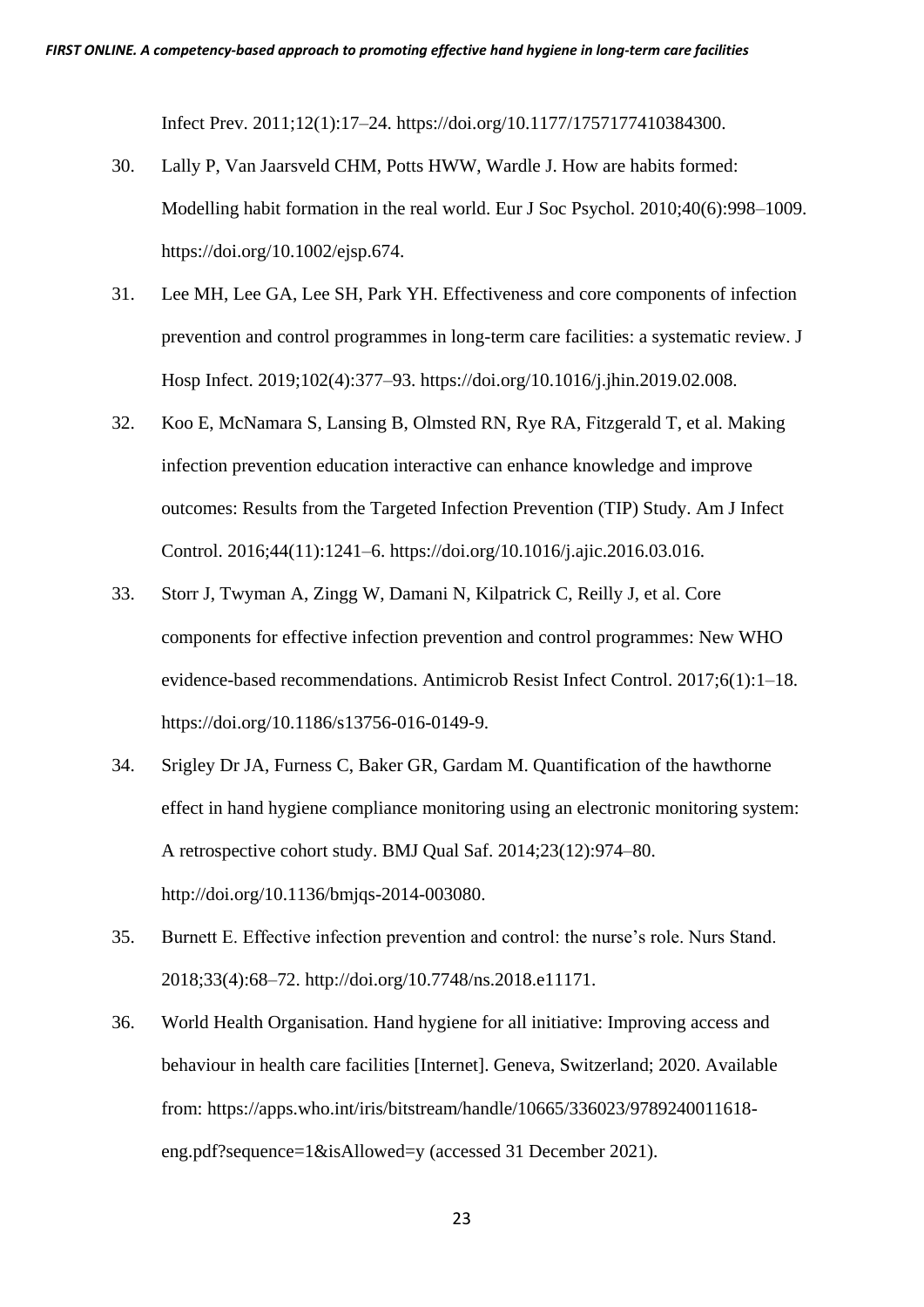Infect Prev. 2011;12(1):17–24. https://doi.org/10.1177/1757177410384300.

- 30. Lally P, Van Jaarsveld CHM, Potts HWW, Wardle J. How are habits formed: Modelling habit formation in the real world. Eur J Soc Psychol. 2010;40(6):998–1009. https://doi.org/10.1002/ejsp.674.
- 31. Lee MH, Lee GA, Lee SH, Park YH. Effectiveness and core components of infection prevention and control programmes in long-term care facilities: a systematic review. J Hosp Infect. 2019;102(4):377–93. https://doi.org/10.1016/j.jhin.2019.02.008.
- 32. Koo E, McNamara S, Lansing B, Olmsted RN, Rye RA, Fitzgerald T, et al. Making infection prevention education interactive can enhance knowledge and improve outcomes: Results from the Targeted Infection Prevention (TIP) Study. Am J Infect Control. 2016;44(11):1241–6. https://doi.org/10.1016/j.ajic.2016.03.016.
- 33. Storr J, Twyman A, Zingg W, Damani N, Kilpatrick C, Reilly J, et al. Core components for effective infection prevention and control programmes: New WHO evidence-based recommendations. Antimicrob Resist Infect Control. 2017;6(1):1–18. https://doi.org/10.1186/s13756-016-0149-9.
- 34. Srigley Dr JA, Furness C, Baker GR, Gardam M. Quantification of the hawthorne effect in hand hygiene compliance monitoring using an electronic monitoring system: A retrospective cohort study. BMJ Qual Saf. 2014;23(12):974–80. http://doi.org/10.1136/bmjqs-2014-003080.
- 35. Burnett E. Effective infection prevention and control: the nurse's role. Nurs Stand. 2018;33(4):68–72. http://doi.org/10.7748/ns.2018.e11171.
- 36. World Health Organisation. Hand hygiene for all initiative: Improving access and behaviour in health care facilities [Internet]. Geneva, Switzerland; 2020. Available from: https://apps.who.int/iris/bitstream/handle/10665/336023/9789240011618 eng.pdf?sequence=1&isAllowed=y (accessed 31 December 2021).